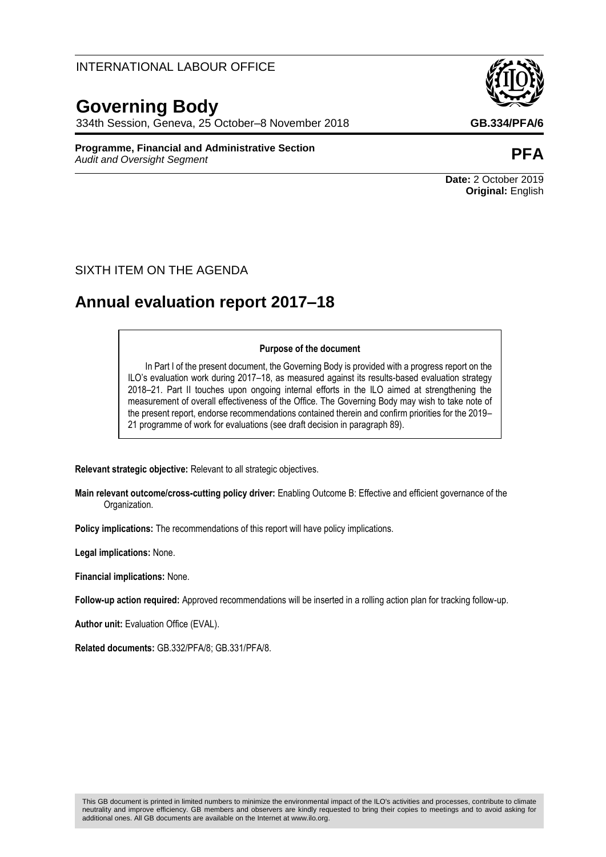## INTERNATIONAL LABOUR OFFICE

# **Governing Body**

334th Session, Geneva, 25 October–8 November 2018 **GB.334/PFA/6**

**Programme, Financial and Administrative Section** *Audit and Oversight Segment* **PFA**

**Date:** 2 October 2019 **Original:** English

## SIXTH ITEM ON THE AGENDA

# **Annual evaluation report 2017–18**

#### **Purpose of the document**

In Part I of the present document, the Governing Body is provided with a progress report on the ILO's evaluation work during 2017–18, as measured against its results-based evaluation strategy 2018–21. Part II touches upon ongoing internal efforts in the ILO aimed at strengthening the measurement of overall effectiveness of the Office. The Governing Body may wish to take note of the present report, endorse recommendations contained therein and confirm priorities for the 2019– 21 programme of work for evaluations (see draft decision in paragraph 89).

**Relevant strategic objective:** Relevant to all strategic objectives.

**Main relevant outcome/cross-cutting policy driver:** Enabling Outcome B: Effective and efficient governance of the Organization.

**Policy implications:** The recommendations of this report will have policy implications.

**Legal implications:** None.

**Financial implications:** None.

**Follow-up action required:** Approved recommendations will be inserted in a rolling action plan for tracking follow-up.

**Author unit:** Evaluation Office (EVAL).

**Related documents:** GB.332/PFA/8; GB.331/PFA/8.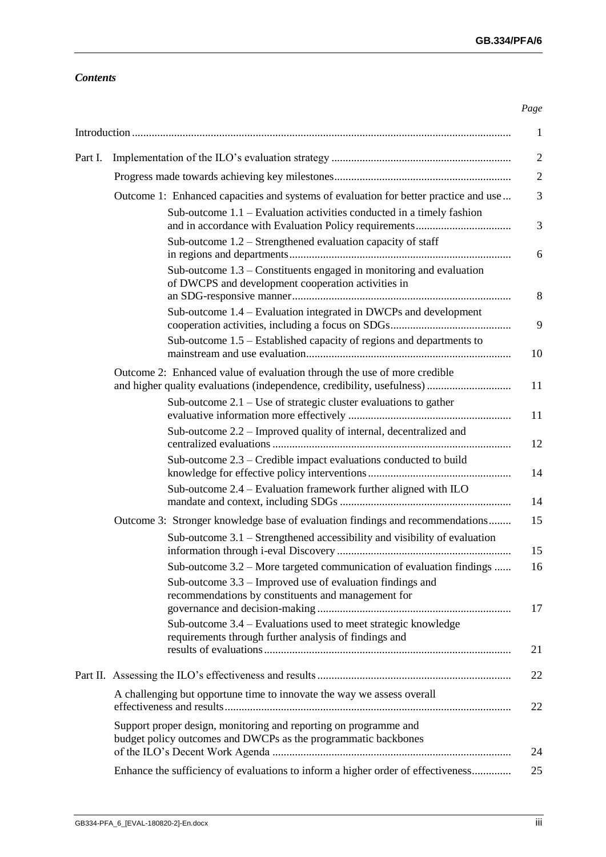## *Contents*

|         | $\mathbf{1}$                                                                                                                                                                                  |
|---------|-----------------------------------------------------------------------------------------------------------------------------------------------------------------------------------------------|
| Part I. | $\mathbf{2}$                                                                                                                                                                                  |
|         | $\mathfrak{2}$                                                                                                                                                                                |
|         | 3<br>Outcome 1: Enhanced capacities and systems of evaluation for better practice and use                                                                                                     |
|         | Sub-outcome $1.1$ – Evaluation activities conducted in a timely fashion<br>3<br>Sub-outcome $1.2$ – Strengthened evaluation capacity of staff                                                 |
|         | 6<br>Sub-outcome $1.3$ – Constituents engaged in monitoring and evaluation<br>of DWCPS and development cooperation activities in<br>8                                                         |
|         | Sub-outcome 1.4 – Evaluation integrated in DWCPs and development<br>9                                                                                                                         |
|         | Sub-outcome 1.5 – Established capacity of regions and departments to<br>10                                                                                                                    |
|         | Outcome 2: Enhanced value of evaluation through the use of more credible<br>and higher quality evaluations (independence, credibility, usefulness)<br>11                                      |
|         | Sub-outcome $2.1$ – Use of strategic cluster evaluations to gather<br>11                                                                                                                      |
|         | Sub-outcome 2.2 – Improved quality of internal, decentralized and<br>12                                                                                                                       |
|         | Sub-outcome $2.3$ – Credible impact evaluations conducted to build<br>14                                                                                                                      |
|         | Sub-outcome 2.4 – Evaluation framework further aligned with ILO<br>14                                                                                                                         |
|         | Outcome 3: Stronger knowledge base of evaluation findings and recommendations<br>15<br>Sub-outcome $3.1$ – Strengthened accessibility and visibility of evaluation<br>15                      |
|         | Sub-outcome 3.2 – More targeted communication of evaluation findings<br>16<br>Sub-outcome 3.3 – Improved use of evaluation findings and<br>recommendations by constituents and management for |
|         | 17<br>Sub-outcome 3.4 – Evaluations used to meet strategic knowledge<br>requirements through further analysis of findings and                                                                 |
|         | 21                                                                                                                                                                                            |
|         | 22                                                                                                                                                                                            |
|         | A challenging but opportune time to innovate the way we assess overall<br>22                                                                                                                  |
|         | Support proper design, monitoring and reporting on programme and<br>budget policy outcomes and DWCPs as the programmatic backbones<br>24                                                      |
|         | Enhance the sufficiency of evaluations to inform a higher order of effectiveness<br>25                                                                                                        |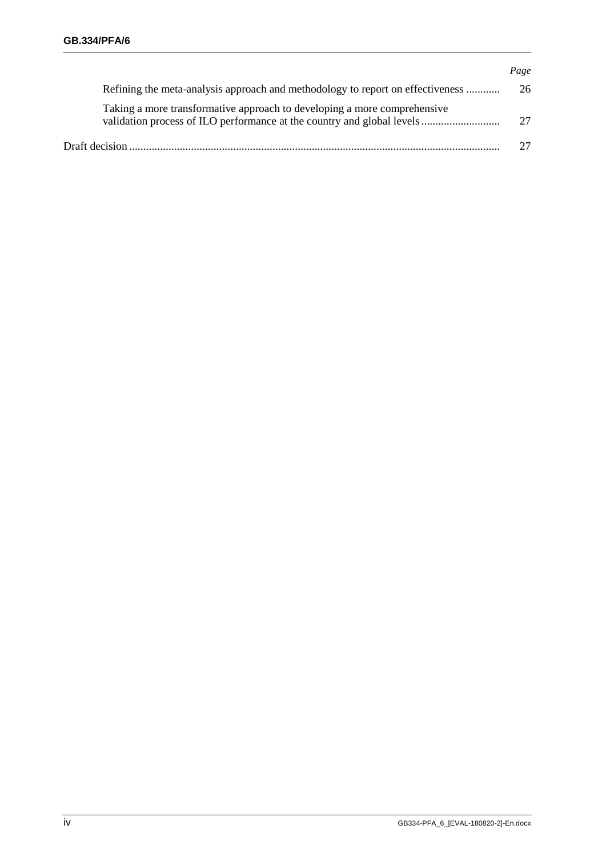|                                                                                                                                                    | Page |
|----------------------------------------------------------------------------------------------------------------------------------------------------|------|
| Refining the meta-analysis approach and methodology to report on effectiveness                                                                     | 26   |
| Taking a more transformative approach to developing a more comprehensive<br>validation process of ILO performance at the country and global levels | 27   |
|                                                                                                                                                    |      |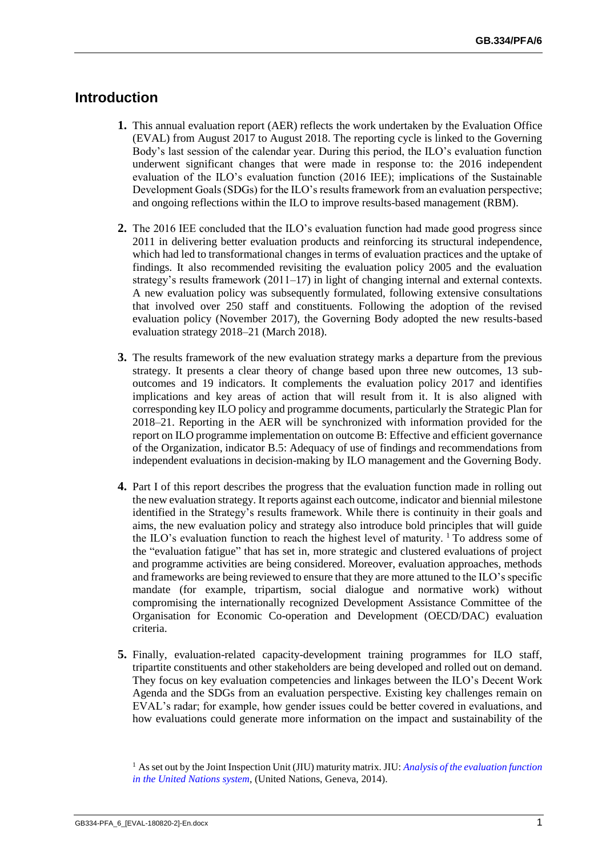## <span id="page-4-0"></span>**Introduction**

- **1.** This annual evaluation report (AER) reflects the work undertaken by the Evaluation Office (EVAL) from August 2017 to August 2018. The reporting cycle is linked to the Governing Body's last session of the calendar year. During this period, the ILO's evaluation function underwent significant changes that were made in response to: the 2016 independent evaluation of the ILO's evaluation function (2016 IEE); implications of the Sustainable Development Goals (SDGs) for the ILO's results framework from an evaluation perspective; and ongoing reflections within the ILO to improve results-based management (RBM).
- **2.** The 2016 IEE concluded that the ILO's evaluation function had made good progress since 2011 in delivering better evaluation products and reinforcing its structural independence, which had led to transformational changes in terms of evaluation practices and the uptake of findings. It also recommended revisiting the evaluation policy 2005 and the evaluation strategy's results framework (2011–17) in light of changing internal and external contexts. A new evaluation policy was subsequently formulated, following extensive consultations that involved over 250 staff and constituents. Following the adoption of the revised evaluation policy (November 2017), the Governing Body adopted the new results-based evaluation strategy 2018–21 (March 2018).
- **3.** The results framework of the new evaluation strategy marks a departure from the previous strategy. It presents a clear theory of change based upon three new outcomes, 13 suboutcomes and 19 indicators. It complements the evaluation policy 2017 and identifies implications and key areas of action that will result from it. It is also aligned with corresponding key ILO policy and programme documents, particularly the Strategic Plan for 2018–21. Reporting in the AER will be synchronized with information provided for the report on ILO programme implementation on outcome B: Effective and efficient governance of the Organization, indicator B.5: Adequacy of use of findings and recommendations from independent evaluations in decision-making by ILO management and the Governing Body.
- **4.** Part I of this report describes the progress that the evaluation function made in rolling out the new evaluation strategy. It reports against each outcome, indicator and biennial milestone identified in the Strategy's results framework. While there is continuity in their goals and aims, the new evaluation policy and strategy also introduce bold principles that will guide the ILO's evaluation function to reach the highest level of maturity.  $\frac{1}{1}$  To address some of the "evaluation fatigue" that has set in, more strategic and clustered evaluations of project and programme activities are being considered. Moreover, evaluation approaches, methods and frameworks are being reviewed to ensure that they are more attuned to the ILO's specific mandate (for example, tripartism, social dialogue and normative work) without compromising the internationally recognized Development Assistance Committee of the Organisation for Economic Co-operation and Development (OECD/DAC) evaluation criteria.
- **5.** Finally, evaluation-related capacity-development training programmes for ILO staff, tripartite constituents and other stakeholders are being developed and rolled out on demand. They focus on key evaluation competencies and linkages between the ILO's Decent Work Agenda and the SDGs from an evaluation perspective. Existing key challenges remain on EVAL's radar; for example, how gender issues could be better covered in evaluations, and how evaluations could generate more information on the impact and sustainability of the

<sup>1</sup> As set out by the Joint Inspection Unit (JIU) maturity matrix. JIU: *[Analysis of the evaluation function](https://www.unjiu.org/sites/www.unjiu.org/files/jiu_document_files/products/en/reports-notes/JIU%20Products/JIU_REP_2014_6_English.pdf)  [in the United Nations system](https://www.unjiu.org/sites/www.unjiu.org/files/jiu_document_files/products/en/reports-notes/JIU%20Products/JIU_REP_2014_6_English.pdf)*, (United Nations, Geneva, 2014).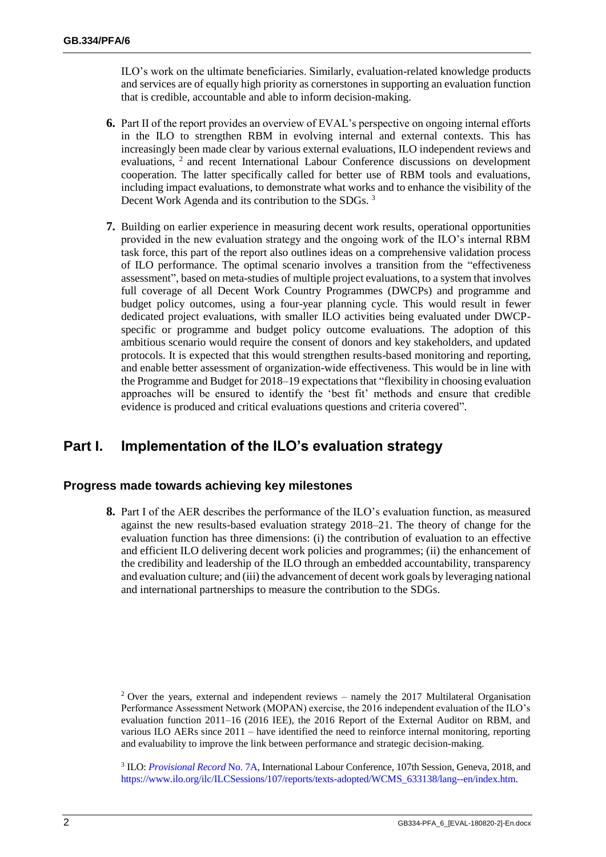ILO's work on the ultimate beneficiaries. Similarly, evaluation-related knowledge products and services are of equally high priority as cornerstones in supporting an evaluation function that is credible, accountable and able to inform decision-making.

- **6.** Part II of the report provides an overview of EVAL's perspective on ongoing internal efforts in the ILO to strengthen RBM in evolving internal and external contexts. This has increasingly been made clear by various external evaluations, ILO independent reviews and evaluations, <sup>2</sup> and recent International Labour Conference discussions on development cooperation. The latter specifically called for better use of RBM tools and evaluations, including impact evaluations, to demonstrate what works and to enhance the visibility of the Decent Work Agenda and its contribution to the SDGs. <sup>3</sup>
- **7.** Building on earlier experience in measuring decent work results, operational opportunities provided in the new evaluation strategy and the ongoing work of the ILO's internal RBM task force, this part of the report also outlines ideas on a comprehensive validation process of ILO performance. The optimal scenario involves a transition from the "effectiveness assessment", based on meta-studies of multiple project evaluations, to a system that involves full coverage of all Decent Work Country Programmes (DWCPs) and programme and budget policy outcomes, using a four-year planning cycle. This would result in fewer dedicated project evaluations, with smaller ILO activities being evaluated under DWCPspecific or programme and budget policy outcome evaluations. The adoption of this ambitious scenario would require the consent of donors and key stakeholders, and updated protocols. It is expected that this would strengthen results-based monitoring and reporting, and enable better assessment of organization-wide effectiveness. This would be in line with the Programme and Budget for 2018–19 expectations that "flexibility in choosing evaluation approaches will be ensured to identify the 'best fit' methods and ensure that credible evidence is produced and critical evaluations questions and criteria covered".

## <span id="page-5-0"></span>**Part I. Implementation of the ILO's evaluation strategy**

#### <span id="page-5-1"></span>**Progress made towards achieving key milestones**

**8.** Part I of the AER describes the performance of the ILO's evaluation function, as measured against the new results-based evaluation strategy 2018–21. The theory of change for the evaluation function has three dimensions: (i) the contribution of evaluation to an effective and efficient ILO delivering decent work policies and programmes; (ii) the enhancement of the credibility and leadership of the ILO through an embedded accountability, transparency and evaluation culture; and (iii) the advancement of decent work goals by leveraging national and international partnerships to measure the contribution to the SDGs.

<sup>&</sup>lt;sup>2</sup> Over the years, external and independent reviews – namely the 2017 Multilateral Organisation Performance Assessment Network (MOPAN) exercise, the 2016 independent evaluation of the ILO's evaluation function 2011–16 (2016 IEE), the 2016 Report of the External Auditor on RBM, and various ILO AERs since 2011 – have identified the need to reinforce internal monitoring, reporting and evaluability to improve the link between performance and strategic decision-making.

<sup>3</sup> ILO: *[Provisional Record](https://www.ilo.org/wcmsp5/groups/public/---ed_norm/---relconf/documents/meetingdocument/wcms_631777.pdf)* No. 7A, International Labour Conference, 107th Session, Geneva, 2018, and [https://www.ilo.org/ilc/ILCSessions/107/reports/texts-adopted/WCMS\\_633138/lang--en/index.htm.](https://www.ilo.org/ilc/ILCSessions/107/reports/texts-adopted/WCMS_633138/lang--en/index.htm)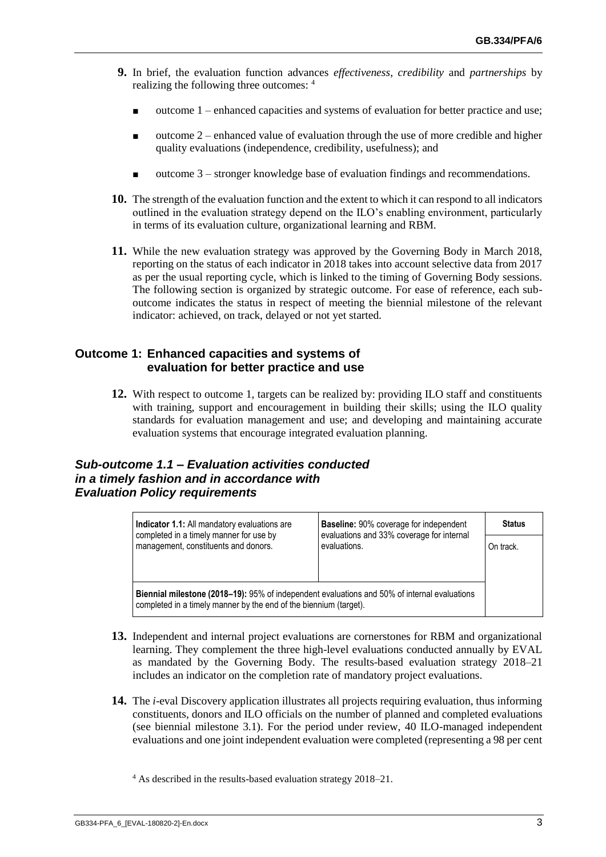- **9.** In brief, the evaluation function advances *effectiveness*, *credibility* and *partnerships* by realizing the following three outcomes: <sup>4</sup>
	- $outcome 1$  enhanced capacities and systems of evaluation for better practice and use;
	- outcome 2 enhanced value of evaluation through the use of more credible and higher quality evaluations (independence, credibility, usefulness); and
	- outcome 3 stronger knowledge base of evaluation findings and recommendations.
- **10.** The strength of the evaluation function and the extent to which it can respond to all indicators outlined in the evaluation strategy depend on the ILO's enabling environment, particularly in terms of its evaluation culture, organizational learning and RBM.
- **11.** While the new evaluation strategy was approved by the Governing Body in March 2018, reporting on the status of each indicator in 2018 takes into account selective data from 2017 as per the usual reporting cycle, which is linked to the timing of Governing Body sessions. The following section is organized by strategic outcome. For ease of reference, each suboutcome indicates the status in respect of meeting the biennial milestone of the relevant indicator: achieved, on track, delayed or not yet started.

#### <span id="page-6-0"></span>**Outcome 1: Enhanced capacities and systems of evaluation for better practice and use**

**12.** With respect to outcome 1, targets can be realized by: providing ILO staff and constituents with training, support and encouragement in building their skills; using the ILO quality standards for evaluation management and use; and developing and maintaining accurate evaluation systems that encourage integrated evaluation planning.

## <span id="page-6-1"></span>*Sub-outcome 1.1 – Evaluation activities conducted in a timely fashion and in accordance with Evaluation Policy requirements*

| <b>Indicator 1.1:</b> All mandatory evaluations are                                                                                                               | <b>Baseline:</b> 90% coverage for independent             | <b>Status</b> |  |
|-------------------------------------------------------------------------------------------------------------------------------------------------------------------|-----------------------------------------------------------|---------------|--|
| completed in a timely manner for use by<br>management, constituents and donors.                                                                                   | evaluations and 33% coverage for internal<br>evaluations. | On track.     |  |
|                                                                                                                                                                   |                                                           |               |  |
| Biennial milestone (2018–19): 95% of independent evaluations and 50% of internal evaluations<br>completed in a timely manner by the end of the biennium (target). |                                                           |               |  |

- **13.** Independent and internal project evaluations are cornerstones for RBM and organizational learning. They complement the three high-level evaluations conducted annually by EVAL as mandated by the Governing Body. The results-based evaluation strategy 2018–21 includes an indicator on the completion rate of mandatory project evaluations.
- **14.** The *i*-eval Discovery application illustrates all projects requiring evaluation, thus informing constituents, donors and ILO officials on the number of planned and completed evaluations (see biennial milestone 3.1). For the period under review, 40 ILO-managed independent evaluations and one joint independent evaluation were completed (representing a 98 per cent

<sup>4</sup> As described in the results-based evaluation strategy 2018–21.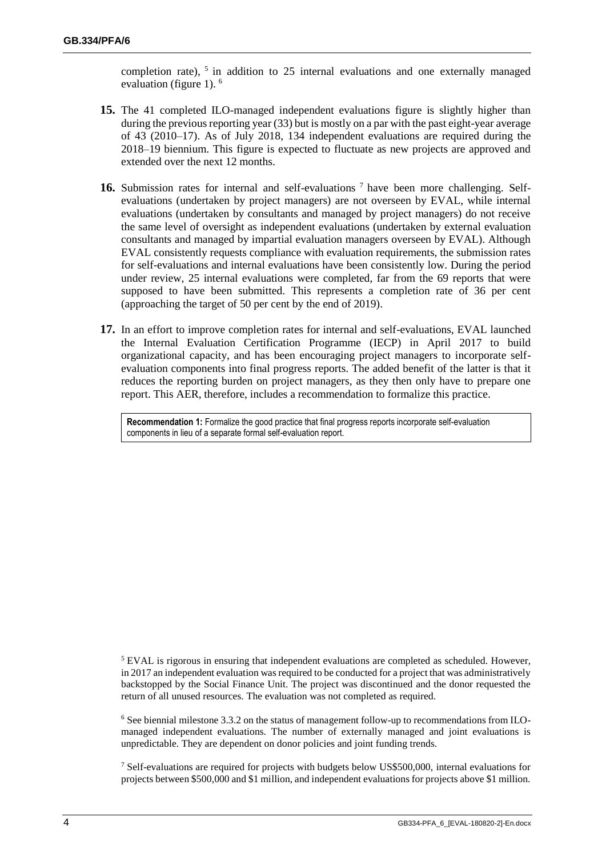completion rate),  $5$  in addition to 25 internal evaluations and one externally managed evaluation (figure 1).<sup>6</sup>

- **15.** The 41 completed ILO-managed independent evaluations figure is slightly higher than during the previous reporting year (33) but is mostly on a par with the past eight-year average of 43 (2010–17). As of July 2018, 134 independent evaluations are required during the 2018–19 biennium. This figure is expected to fluctuate as new projects are approved and extended over the next 12 months.
- **16.** Submission rates for internal and self-evaluations <sup>7</sup> have been more challenging. Selfevaluations (undertaken by project managers) are not overseen by EVAL, while internal evaluations (undertaken by consultants and managed by project managers) do not receive the same level of oversight as independent evaluations (undertaken by external evaluation consultants and managed by impartial evaluation managers overseen by EVAL). Although EVAL consistently requests compliance with evaluation requirements, the submission rates for self-evaluations and internal evaluations have been consistently low. During the period under review, 25 internal evaluations were completed, far from the 69 reports that were supposed to have been submitted. This represents a completion rate of 36 per cent (approaching the target of 50 per cent by the end of 2019).
- **17.** In an effort to improve completion rates for internal and self-evaluations, EVAL launched the Internal Evaluation Certification Programme (IECP) in April 2017 to build organizational capacity, and has been encouraging project managers to incorporate selfevaluation components into final progress reports. The added benefit of the latter is that it reduces the reporting burden on project managers, as they then only have to prepare one report. This AER, therefore, includes a recommendation to formalize this practice.

**Recommendation 1:** Formalize the good practice that final progress reports incorporate self-evaluation components in lieu of a separate formal self-evaluation report.

<sup>5</sup> EVAL is rigorous in ensuring that independent evaluations are completed as scheduled. However, in 2017 an independent evaluation was required to be conducted for a project that was administratively backstopped by the Social Finance Unit. The project was discontinued and the donor requested the return of all unused resources. The evaluation was not completed as required.

 $6$  See biennial milestone 3.3.2 on the status of management follow-up to recommendations from ILOmanaged independent evaluations. The number of externally managed and joint evaluations is unpredictable. They are dependent on donor policies and joint funding trends.

 $7$  Self-evaluations are required for projects with budgets below US\$500,000, internal evaluations for projects between \$500,000 and \$1 million, and independent evaluations for projects above \$1 million.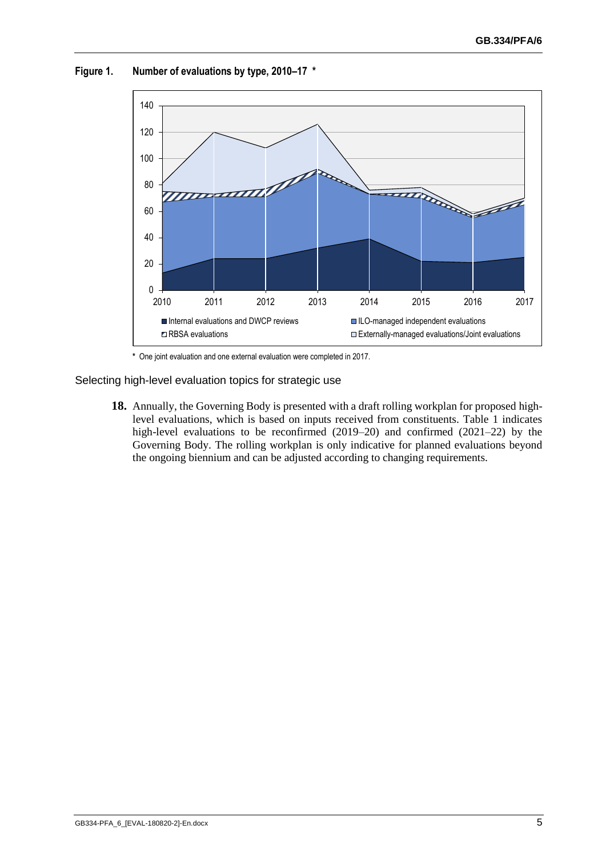

**Figure 1. Number of evaluations by type, 2010–17 \***

**\*** One joint evaluation and one external evaluation were completed in 2017.

Selecting high-level evaluation topics for strategic use

**18.** Annually, the Governing Body is presented with a draft rolling workplan for proposed highlevel evaluations, which is based on inputs received from constituents. Table 1 indicates high-level evaluations to be reconfirmed (2019–20) and confirmed (2021–22) by the Governing Body. The rolling workplan is only indicative for planned evaluations beyond the ongoing biennium and can be adjusted according to changing requirements.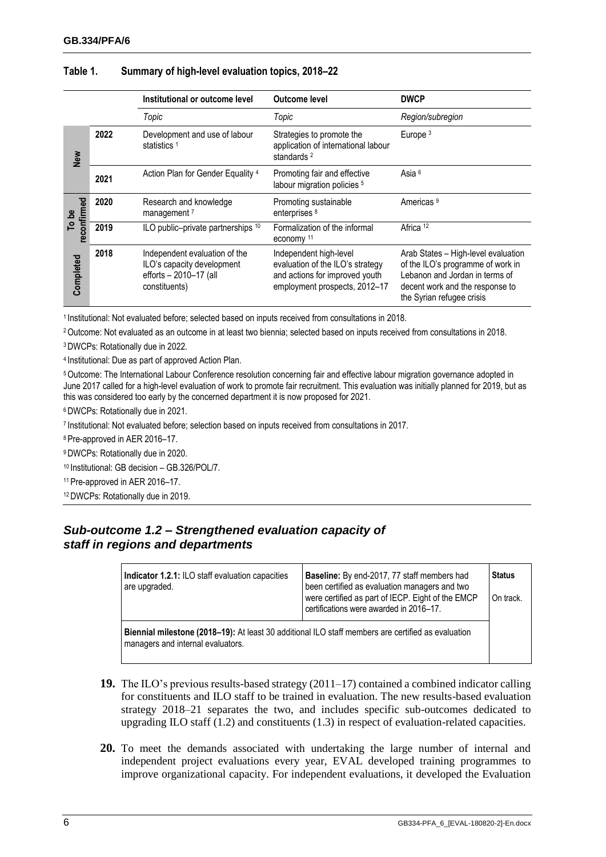|                      |      | Institutional or outcome level                                                                         | <b>Outcome level</b>                                                                                                          | <b>DWCP</b>                                                                                                                                                                |
|----------------------|------|--------------------------------------------------------------------------------------------------------|-------------------------------------------------------------------------------------------------------------------------------|----------------------------------------------------------------------------------------------------------------------------------------------------------------------------|
|                      |      | Topic                                                                                                  | Topic                                                                                                                         | Region/subregion                                                                                                                                                           |
| <b>New</b>           | 2022 | Development and use of labour<br>statistics <sup>1</sup>                                               | Strategies to promote the<br>application of international labour<br>standards <sup>2</sup>                                    | Europe <sup>3</sup>                                                                                                                                                        |
|                      | 2021 | Action Plan for Gender Equality <sup>4</sup>                                                           | Promoting fair and effective<br>labour migration policies <sup>5</sup>                                                        | Asia <sup>6</sup>                                                                                                                                                          |
| reconfirmed<br>To be | 2020 | Research and knowledge<br>management <sup>7</sup>                                                      | Promoting sustainable<br>enterprises <sup>8</sup>                                                                             | Americas <sup>9</sup>                                                                                                                                                      |
|                      | 2019 | ILO public-private partnerships 10                                                                     | Formalization of the informal<br>economy <sup>11</sup>                                                                        | Africa <sup>12</sup>                                                                                                                                                       |
| Completed            | 2018 | Independent evaluation of the<br>ILO's capacity development<br>efforts - 2010-17 (all<br>constituents) | Independent high-level<br>evaluation of the ILO's strategy<br>and actions for improved youth<br>employment prospects, 2012-17 | Arab States - High-level evaluation<br>of the ILO's programme of work in<br>Lebanon and Jordan in terms of<br>decent work and the response to<br>the Syrian refugee crisis |

#### **Table 1. Summary of high-level evaluation topics, 2018–22**

1 Institutional: Not evaluated before; selected based on inputs received from consultations in 2018.

<sup>2</sup>Outcome: Not evaluated as an outcome in at least two biennia; selected based on inputs received from consultations in 2018.

<sup>3</sup>DWCPs: Rotationally due in 2022.

4 Institutional: Due as part of approved Action Plan.

<sup>5</sup>Outcome: The International Labour Conference resolution concerning fair and effective labour migration governance adopted in June 2017 called for a high-level evaluation of work to promote fair recruitment. This evaluation was initially planned for 2019, but as this was considered too early by the concerned department it is now proposed for 2021.

<sup>6</sup>DWCPs: Rotationally due in 2021.

7 Institutional: Not evaluated before; selection based on inputs received from consultations in 2017.

<sup>8</sup> Pre-approved in AER 2016–17.

<sup>9</sup>DWCPs: Rotationally due in 2020.

<sup>10</sup> Institutional: GB decision – GB.326/POL/7.

<sup>11</sup> Pre-approved in AER 2016–17.

<span id="page-9-0"></span><sup>12</sup>DWCPs: Rotationally due in 2019.

## *Sub-outcome 1.2 – Strengthened evaluation capacity of staff in regions and departments*

| Indicator 1.2.1: ILO staff evaluation capacities<br>are upgraded.                                                                       | <b>Baseline:</b> By end-2017, 77 staff members had<br>been certified as evaluation managers and two<br>were certified as part of IECP. Eight of the EMCP<br>certifications were awarded in 2016-17. | <b>Status</b> |  |
|-----------------------------------------------------------------------------------------------------------------------------------------|-----------------------------------------------------------------------------------------------------------------------------------------------------------------------------------------------------|---------------|--|
|                                                                                                                                         |                                                                                                                                                                                                     | On track.     |  |
| Biennial milestone (2018–19): At least 30 additional ILO staff members are certified as evaluation<br>managers and internal evaluators. |                                                                                                                                                                                                     |               |  |

- **19.** The ILO's previous results-based strategy (2011–17) contained a combined indicator calling for constituents and ILO staff to be trained in evaluation. The new results-based evaluation strategy 2018–21 separates the two, and includes specific sub-outcomes dedicated to upgrading ILO staff (1.2) and constituents (1.3) in respect of evaluation-related capacities.
- **20.** To meet the demands associated with undertaking the large number of internal and independent project evaluations every year, EVAL developed training programmes to improve organizational capacity. For independent evaluations, it developed the Evaluation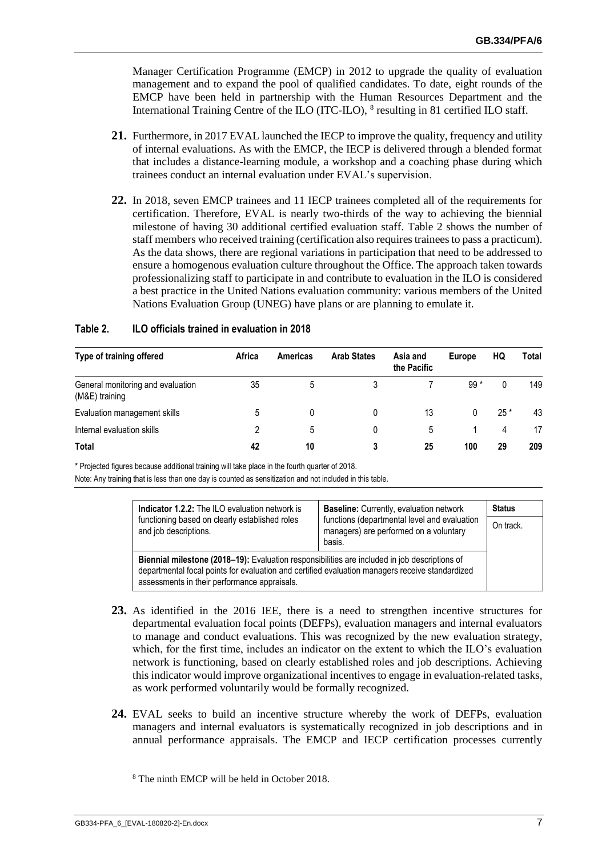Manager Certification Programme (EMCP) in 2012 to upgrade the quality of evaluation management and to expand the pool of qualified candidates. To date, eight rounds of the EMCP have been held in partnership with the Human Resources Department and the International Training Centre of the ILO (ITC-ILO), <sup>8</sup> resulting in 81 certified ILO staff.

- **21.** Furthermore, in 2017 EVAL launched the IECP to improve the quality, frequency and utility of internal evaluations. As with the EMCP, the IECP is delivered through a blended format that includes a distance-learning module, a workshop and a coaching phase during which trainees conduct an internal evaluation under EVAL's supervision.
- **22.** In 2018, seven EMCP trainees and 11 IECP trainees completed all of the requirements for certification. Therefore, EVAL is nearly two-thirds of the way to achieving the biennial milestone of having 30 additional certified evaluation staff. Table 2 shows the number of staff members who received training (certification also requires trainees to pass a practicum). As the data shows, there are regional variations in participation that need to be addressed to ensure a homogenous evaluation culture throughout the Office. The approach taken towards professionalizing staff to participate in and contribute to evaluation in the ILO is considered a best practice in the United Nations evaluation community: various members of the United Nations Evaluation Group (UNEG) have plans or are planning to emulate it.

| Type of training offered                            | Africa | Americas | <b>Arab States</b> | Asia and<br>the Pacific | <b>Europe</b> | HQ    | Total |
|-----------------------------------------------------|--------|----------|--------------------|-------------------------|---------------|-------|-------|
| General monitoring and evaluation<br>(M&E) training | 35     | 5        |                    |                         | $99*$         |       | 149   |
| Evaluation management skills                        |        |          | 0                  | 13                      | 0             | $25*$ | 43    |
| Internal evaluation skills                          |        | 5        | 0                  | 5                       |               | 4     | 17    |
|                                                     |        |          |                    |                         |               |       |       |

**Total 42 10 3 25 100 29 209**

#### **Table 2. ILO officials trained in evaluation in 2018**

\* Projected figures because additional training will take place in the fourth quarter of 2018.

Note: Any training that is less than one day is counted as sensitization and not included in this table.

| <b>Indicator 1.2.2:</b> The ILO evaluation network is                                                                                                                                                                                            | <b>Baseline:</b> Currently, evaluation network                                                   | <b>Status</b> |  |
|--------------------------------------------------------------------------------------------------------------------------------------------------------------------------------------------------------------------------------------------------|--------------------------------------------------------------------------------------------------|---------------|--|
| functioning based on clearly established roles<br>and job descriptions.                                                                                                                                                                          | functions (departmental level and evaluation<br>managers) are performed on a voluntary<br>basis. | On track.     |  |
| Biennial milestone (2018–19): Evaluation responsibilities are included in job descriptions of<br>departmental focal points for evaluation and certified evaluation managers receive standardized<br>assessments in their performance appraisals. |                                                                                                  |               |  |

- **23.** As identified in the 2016 IEE, there is a need to strengthen incentive structures for departmental evaluation focal points (DEFPs), evaluation managers and internal evaluators to manage and conduct evaluations. This was recognized by the new evaluation strategy, which, for the first time, includes an indicator on the extent to which the ILO's evaluation network is functioning, based on clearly established roles and job descriptions. Achieving this indicator would improve organizational incentives to engage in evaluation-related tasks, as work performed voluntarily would be formally recognized.
- **24.** EVAL seeks to build an incentive structure whereby the work of DEFPs, evaluation managers and internal evaluators is systematically recognized in job descriptions and in annual performance appraisals. The EMCP and IECP certification processes currently

<sup>8</sup> The ninth EMCP will be held in October 2018.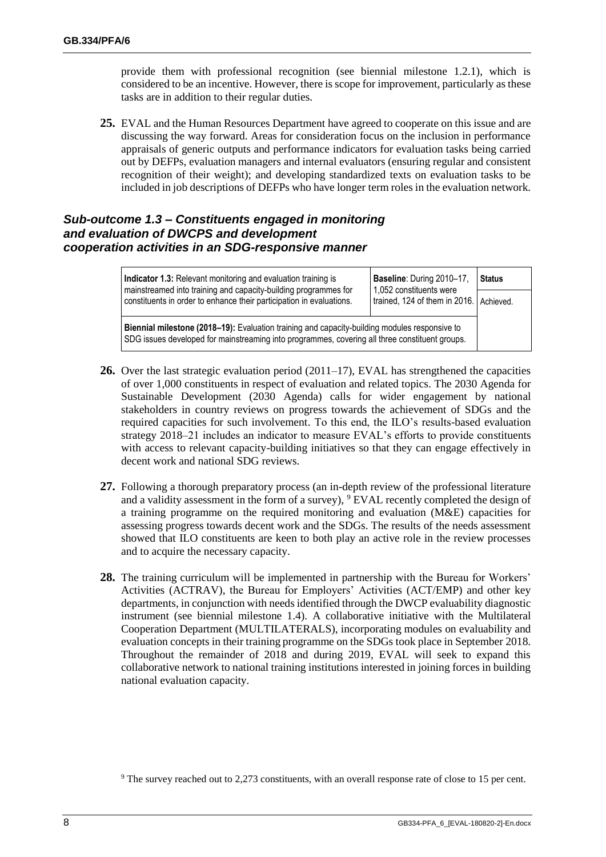provide them with professional recognition (see biennial milestone 1.2.1), which is considered to be an incentive. However, there is scope for improvement, particularly as these tasks are in addition to their regular duties.

**25.** EVAL and the Human Resources Department have agreed to cooperate on this issue and are discussing the way forward. Areas for consideration focus on the inclusion in performance appraisals of generic outputs and performance indicators for evaluation tasks being carried out by DEFPs, evaluation managers and internal evaluators (ensuring regular and consistent recognition of their weight); and developing standardized texts on evaluation tasks to be included in job descriptions of DEFPs who have longer term roles in the evaluation network.

## <span id="page-11-0"></span>*Sub-outcome 1.3 – Constituents engaged in monitoring and evaluation of DWCPS and development cooperation activities in an SDG-responsive manner*

| Indicator 1.3: Relevant monitoring and evaluation training is<br>mainstreamed into training and capacity-building programmes for                                                                | Baseline: During 2010-17,<br>1,052 constituents were | <b>Status</b> |  |  |
|-------------------------------------------------------------------------------------------------------------------------------------------------------------------------------------------------|------------------------------------------------------|---------------|--|--|
| constituents in order to enhance their participation in evaluations.                                                                                                                            | trained, 124 of them in 2016. Achieved.              |               |  |  |
| Biennial milestone (2018-19): Evaluation training and capacity-building modules responsive to<br>SDG issues developed for mainstreaming into programmes, covering all three constituent groups. |                                                      |               |  |  |

- **26.** Over the last strategic evaluation period (2011–17), EVAL has strengthened the capacities of over 1,000 constituents in respect of evaluation and related topics. The 2030 Agenda for Sustainable Development (2030 Agenda) calls for wider engagement by national stakeholders in country reviews on progress towards the achievement of SDGs and the required capacities for such involvement. To this end, the ILO's results-based evaluation strategy 2018–21 includes an indicator to measure EVAL's efforts to provide constituents with access to relevant capacity-building initiatives so that they can engage effectively in decent work and national SDG reviews.
- **27.** Following a thorough preparatory process (an in-depth review of the professional literature and a validity assessment in the form of a survey),  $\degree$  EVAL recently completed the design of a training programme on the required monitoring and evaluation (M&E) capacities for assessing progress towards decent work and the SDGs. The results of the needs assessment showed that ILO constituents are keen to both play an active role in the review processes and to acquire the necessary capacity.
- **28.** The training curriculum will be implemented in partnership with the Bureau for Workers' Activities (ACTRAV), the Bureau for Employers' Activities (ACT/EMP) and other key departments, in conjunction with needs identified through the DWCP evaluability diagnostic instrument (see biennial milestone 1.4). A collaborative initiative with the Multilateral Cooperation Department (MULTILATERALS), incorporating modules on evaluability and evaluation concepts in their training programme on the SDGs took place in September 2018. Throughout the remainder of 2018 and during 2019, EVAL will seek to expand this collaborative network to national training institutions interested in joining forces in building national evaluation capacity.

<sup>&</sup>lt;sup>9</sup> The survey reached out to 2,273 constituents, with an overall response rate of close to 15 per cent.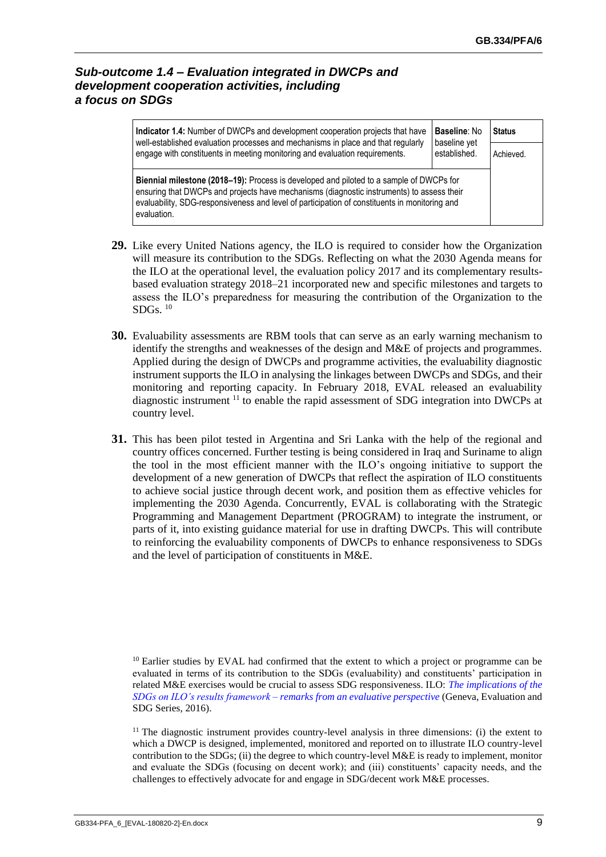## <span id="page-12-0"></span>*Sub-outcome 1.4 – Evaluation integrated in DWCPs and development cooperation activities, including a focus on SDGs*

| Indicator 1.4: Number of DWCPs and development cooperation projects that have<br>well-established evaluation processes and mechanisms in place and that regularly                                                                                                                                    | <b>Baseline: No</b><br>baseline yet | <b>Status</b> |  |
|------------------------------------------------------------------------------------------------------------------------------------------------------------------------------------------------------------------------------------------------------------------------------------------------------|-------------------------------------|---------------|--|
| engage with constituents in meeting monitoring and evaluation requirements.                                                                                                                                                                                                                          | established.                        | Achieved.     |  |
| Biennial milestone (2018-19): Process is developed and piloted to a sample of DWCPs for<br>ensuring that DWCPs and projects have mechanisms (diagnostic instruments) to assess their<br>evaluability, SDG-responsiveness and level of participation of constituents in monitoring and<br>evaluation. |                                     |               |  |

- **29.** Like every United Nations agency, the ILO is required to consider how the Organization will measure its contribution to the SDGs. Reflecting on what the 2030 Agenda means for the ILO at the operational level, the evaluation policy 2017 and its complementary resultsbased evaluation strategy 2018–21 incorporated new and specific milestones and targets to assess the ILO's preparedness for measuring the contribution of the Organization to the SDGs.  $10$
- **30.** Evaluability assessments are RBM tools that can serve as an early warning mechanism to identify the strengths and weaknesses of the design and M&E of projects and programmes. Applied during the design of DWCPs and programme activities, the evaluability diagnostic instrument supports the ILO in analysing the linkages between DWCPs and SDGs, and their monitoring and reporting capacity. In February 2018, EVAL released an evaluability diagnostic instrument <sup>11</sup> to enable the rapid assessment of SDG integration into DWCPs at country level.
- **31.** This has been pilot tested in Argentina and Sri Lanka with the help of the regional and country offices concerned. Further testing is being considered in Iraq and Suriname to align the tool in the most efficient manner with the ILO's ongoing initiative to support the development of a new generation of DWCPs that reflect the aspiration of ILO constituents to achieve social justice through decent work, and position them as effective vehicles for implementing the 2030 Agenda. Concurrently, EVAL is collaborating with the Strategic Programming and Management Department (PROGRAM) to integrate the instrument, or parts of it, into existing guidance material for use in drafting DWCPs. This will contribute to reinforcing the evaluability components of DWCPs to enhance responsiveness to SDGs and the level of participation of constituents in M&E.

 $10$  Earlier studies by EVAL had confirmed that the extent to which a project or programme can be evaluated in terms of its contribution to the SDGs (evaluability) and constituents' participation in related M&E exercises would be crucial to assess SDG responsiveness. ILO: *[The implications of the](https://www.ilo.org/wcmsp5/groups/public/---ed_mas/---eval/documents/publication/wcms_626860.pdf)  SDGs on ILO's results framework – [remarks from an evaluative perspective](https://www.ilo.org/wcmsp5/groups/public/---ed_mas/---eval/documents/publication/wcms_626860.pdf)* (Geneva, Evaluation and SDG Series, 2016).

 $11$  The diagnostic instrument provides country-level analysis in three dimensions: (i) the extent to which a DWCP is designed, implemented, monitored and reported on to illustrate ILO country-level contribution to the SDGs; (ii) the degree to which country-level M&E is ready to implement, monitor and evaluate the SDGs (focusing on decent work); and (iii) constituents' capacity needs, and the challenges to effectively advocate for and engage in SDG/decent work M&E processes.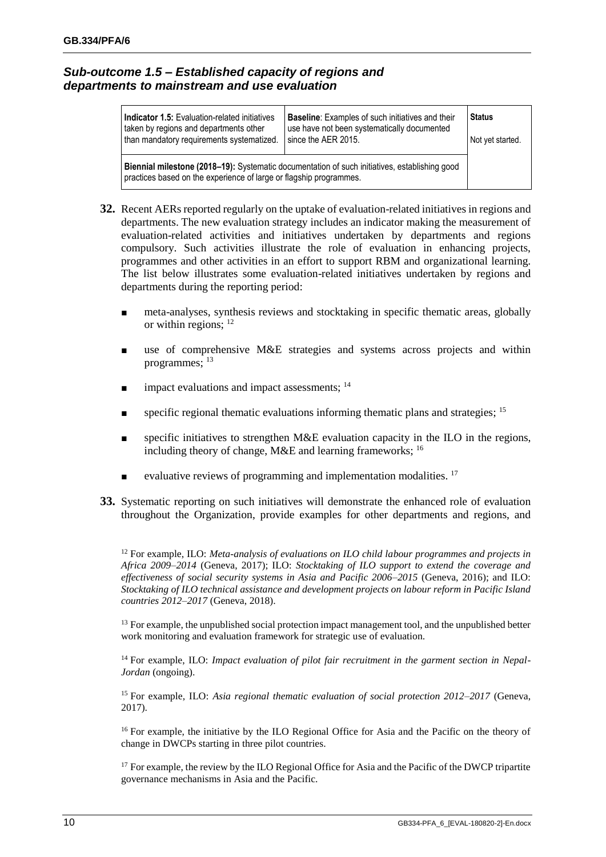## <span id="page-13-0"></span>*Sub-outcome 1.5 – Established capacity of regions and departments to mainstream and use evaluation*

| Indicator 1.5: Evaluation-related initiatives<br>taken by regions and departments other                                                                                    | <b>Baseline:</b> Examples of such initiatives and their<br>use have not been systematically documented | <b>Status</b>    |  |
|----------------------------------------------------------------------------------------------------------------------------------------------------------------------------|--------------------------------------------------------------------------------------------------------|------------------|--|
| than mandatory requirements systematized.                                                                                                                                  | since the AER 2015.                                                                                    | Not yet started. |  |
| <b>Biennial milestone (2018–19):</b> Systematic documentation of such initiatives, establishing good<br>practices based on the experience of large or flagship programmes. |                                                                                                        |                  |  |

- **32.** Recent AERs reported regularly on the uptake of evaluation-related initiatives in regions and departments. The new evaluation strategy includes an indicator making the measurement of evaluation-related activities and initiatives undertaken by departments and regions compulsory. Such activities illustrate the role of evaluation in enhancing projects, programmes and other activities in an effort to support RBM and organizational learning. The list below illustrates some evaluation-related initiatives undertaken by regions and departments during the reporting period:
	- meta-analyses, synthesis reviews and stocktaking in specific thematic areas, globally or within regions; <sup>12</sup>
	- use of comprehensive M&E strategies and systems across projects and within programmes; <sup>13</sup>
	- impact evaluations and impact assessments;  $14$
	- specific regional thematic evaluations informing thematic plans and strategies; <sup>15</sup>
	- specific initiatives to strengthen M&E evaluation capacity in the ILO in the regions, including theory of change,  $M&E$  and learning frameworks;  $^{16}$
	- evaluative reviews of programming and implementation modalities.  $17$
- **33.** Systematic reporting on such initiatives will demonstrate the enhanced role of evaluation throughout the Organization, provide examples for other departments and regions, and

<sup>12</sup> For example, ILO: *Meta-analysis of evaluations on ILO child labour programmes and projects in Africa 2009–2014* (Geneva, 2017); ILO: *Stocktaking of ILO support to extend the coverage and effectiveness of social security systems in Asia and Pacific 2006–2015* (Geneva, 2016); and ILO: *Stocktaking of ILO technical assistance and development projects on labour reform in Pacific Island countries 2012–2017* (Geneva, 2018).

<sup>13</sup> For example, the unpublished social protection impact management tool, and the unpublished better work monitoring and evaluation framework for strategic use of evaluation.

<sup>14</sup> For example, ILO: *Impact evaluation of pilot fair recruitment in the garment section in Nepal-Jordan* (ongoing).

<sup>15</sup> For example, ILO: *Asia regional thematic evaluation of social protection 2012–2017* (Geneva, 2017).

<sup>16</sup> For example, the initiative by the ILO Regional Office for Asia and the Pacific on the theory of change in DWCPs starting in three pilot countries.

<sup>17</sup> For example, the review by the ILO Regional Office for Asia and the Pacific of the DWCP tripartite governance mechanisms in Asia and the Pacific.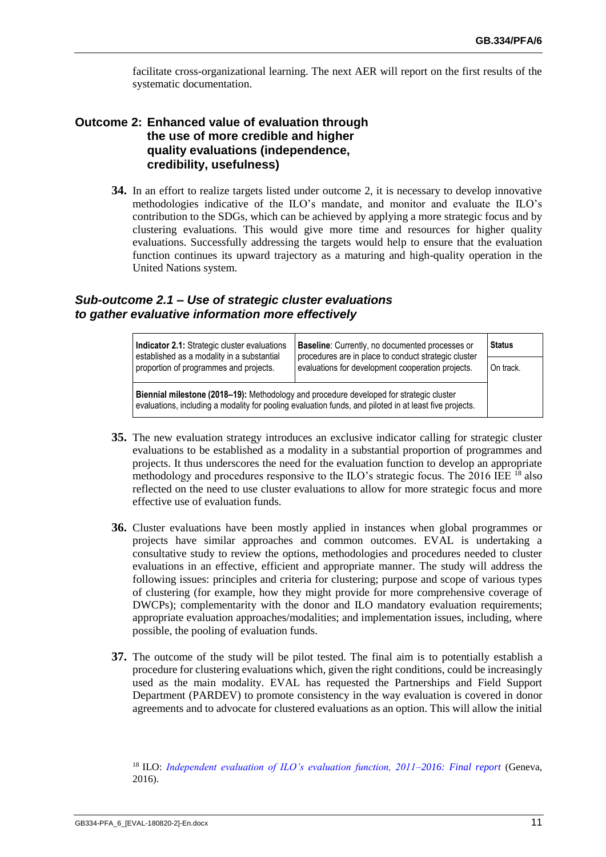facilitate cross-organizational learning. The next AER will report on the first results of the systematic documentation.

## <span id="page-14-0"></span>**Outcome 2: Enhanced value of evaluation through the use of more credible and higher quality evaluations (independence, credibility, usefulness)**

**34.** In an effort to realize targets listed under outcome 2, it is necessary to develop innovative methodologies indicative of the ILO's mandate, and monitor and evaluate the ILO's contribution to the SDGs, which can be achieved by applying a more strategic focus and by clustering evaluations. This would give more time and resources for higher quality evaluations. Successfully addressing the targets would help to ensure that the evaluation function continues its upward trajectory as a maturing and high-quality operation in the United Nations system.

#### <span id="page-14-1"></span>*Sub-outcome 2.1 – Use of strategic cluster evaluations to gather evaluative information more effectively*

| Indicator 2.1: Strategic cluster evaluations<br>established as a modality in a substantial                                                                                                        | Baseline: Currently, no documented processes or<br>procedures are in place to conduct strategic cluster | <b>Status</b> |  |
|---------------------------------------------------------------------------------------------------------------------------------------------------------------------------------------------------|---------------------------------------------------------------------------------------------------------|---------------|--|
| proportion of programmes and projects.                                                                                                                                                            | evaluations for development cooperation projects.                                                       | On track.     |  |
| Biennial milestone (2018–19): Methodology and procedure developed for strategic cluster<br>evaluations, including a modality for pooling evaluation funds, and piloted in at least five projects. |                                                                                                         |               |  |

- **35.** The new evaluation strategy introduces an exclusive indicator calling for strategic cluster evaluations to be established as a modality in a substantial proportion of programmes and projects. It thus underscores the need for the evaluation function to develop an appropriate methodology and procedures responsive to the ILO's strategic focus. The 2016 IEE <sup>18</sup> also reflected on the need to use cluster evaluations to allow for more strategic focus and more effective use of evaluation funds.
- **36.** Cluster evaluations have been mostly applied in instances when global programmes or projects have similar approaches and common outcomes. EVAL is undertaking a consultative study to review the options, methodologies and procedures needed to cluster evaluations in an effective, efficient and appropriate manner. The study will address the following issues: principles and criteria for clustering; purpose and scope of various types of clustering (for example, how they might provide for more comprehensive coverage of DWCPs); complementarity with the donor and ILO mandatory evaluation requirements; appropriate evaluation approaches/modalities; and implementation issues, including, where possible, the pooling of evaluation funds.
- **37.** The outcome of the study will be pilot tested. The final aim is to potentially establish a procedure for clustering evaluations which, given the right conditions, could be increasingly used as the main modality. EVAL has requested the Partnerships and Field Support Department (PARDEV) to promote consistency in the way evaluation is covered in donor agreements and to advocate for clustered evaluations as an option. This will allow the initial

<sup>18</sup> ILO: *Independent evaluation of ILO's evaluation function, 2011-2016: Final report* (Geneva, 2016).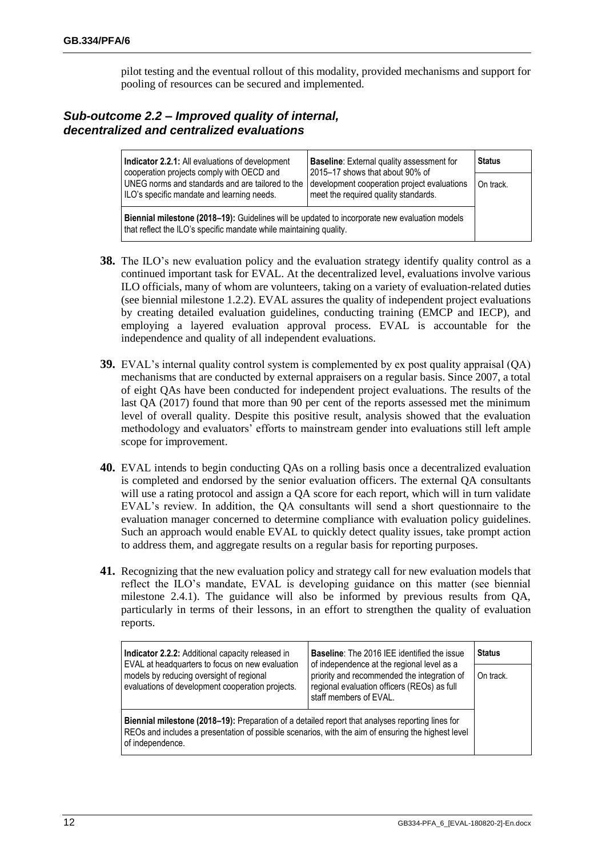pilot testing and the eventual rollout of this modality, provided mechanisms and support for pooling of resources can be secured and implemented.

## <span id="page-15-0"></span>*Sub-outcome 2.2 – Improved quality of internal, decentralized and centralized evaluations*

| Indicator 2.2.1: All evaluations of development                                                                                                                     | <b>Baseline:</b> External quality assessment for<br>2015–17 shows that about 90% of<br>development cooperation project evaluations<br>meet the required quality standards. | <b>Status</b> |  |  |
|---------------------------------------------------------------------------------------------------------------------------------------------------------------------|----------------------------------------------------------------------------------------------------------------------------------------------------------------------------|---------------|--|--|
| cooperation projects comply with OECD and<br>UNEG norms and standards and are tailored to the<br>ILO's specific mandate and learning needs.                         |                                                                                                                                                                            | On track.     |  |  |
| Biennial milestone (2018-19): Guidelines will be updated to incorporate new evaluation models<br>that reflect the ILO's specific mandate while maintaining quality. |                                                                                                                                                                            |               |  |  |

- **38.** The ILO's new evaluation policy and the evaluation strategy identify quality control as a continued important task for EVAL. At the decentralized level, evaluations involve various ILO officials, many of whom are volunteers, taking on a variety of evaluation-related duties (see biennial milestone 1.2.2). EVAL assures the quality of independent project evaluations by creating detailed evaluation guidelines, conducting training (EMCP and IECP), and employing a layered evaluation approval process. EVAL is accountable for the independence and quality of all independent evaluations.
- **39.** EVAL's internal quality control system is complemented by ex post quality appraisal (QA) mechanisms that are conducted by external appraisers on a regular basis. Since 2007, a total of eight QAs have been conducted for independent project evaluations. The results of the last QA (2017) found that more than 90 per cent of the reports assessed met the minimum level of overall quality. Despite this positive result, analysis showed that the evaluation methodology and evaluators' efforts to mainstream gender into evaluations still left ample scope for improvement.
- **40.** EVAL intends to begin conducting QAs on a rolling basis once a decentralized evaluation is completed and endorsed by the senior evaluation officers. The external QA consultants will use a rating protocol and assign a QA score for each report, which will in turn validate EVAL's review. In addition, the QA consultants will send a short questionnaire to the evaluation manager concerned to determine compliance with evaluation policy guidelines. Such an approach would enable EVAL to quickly detect quality issues, take prompt action to address them, and aggregate results on a regular basis for reporting purposes.
- **41.** Recognizing that the new evaluation policy and strategy call for new evaluation models that reflect the ILO's mandate, EVAL is developing guidance on this matter (see biennial milestone 2.4.1). The guidance will also be informed by previous results from QA, particularly in terms of their lessons, in an effort to strengthen the quality of evaluation reports.

| Indicator 2.2.2: Additional capacity released in<br>EVAL at headquarters to focus on new evaluation                                                                                                                        | <b>Baseline:</b> The 2016 IEE identified the issue<br>of independence at the regional level as a                     | <b>Status</b> |
|----------------------------------------------------------------------------------------------------------------------------------------------------------------------------------------------------------------------------|----------------------------------------------------------------------------------------------------------------------|---------------|
| models by reducing oversight of regional<br>evaluations of development cooperation projects.                                                                                                                               | priority and recommended the integration of<br>regional evaluation officers (REOs) as full<br>staff members of EVAL. | On track.     |
| Biennial milestone (2018–19): Preparation of a detailed report that analyses reporting lines for<br>REOs and includes a presentation of possible scenarios, with the aim of ensuring the highest level<br>of independence. |                                                                                                                      |               |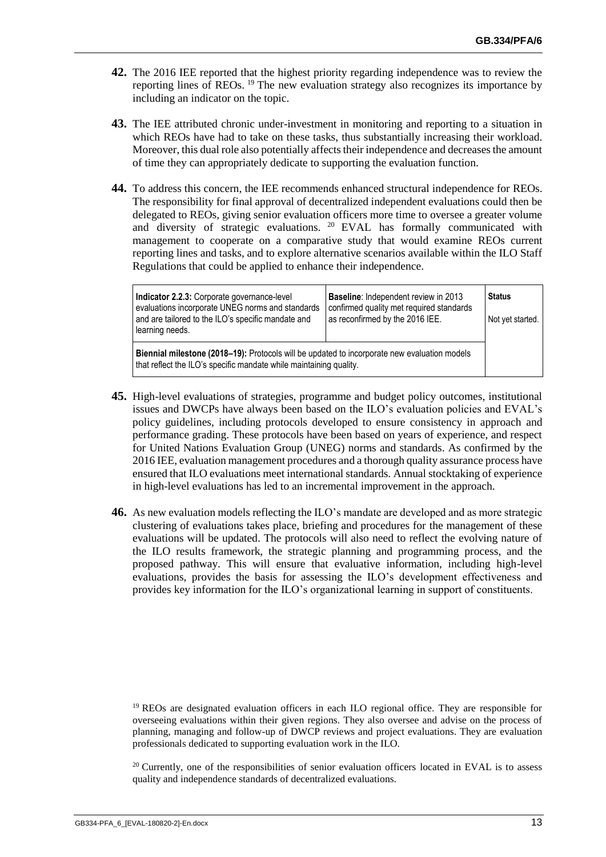- **42.** The 2016 IEE reported that the highest priority regarding independence was to review the reporting lines of REOs. <sup>19</sup> The new evaluation strategy also recognizes its importance by including an indicator on the topic.
- **43.** The IEE attributed chronic under-investment in monitoring and reporting to a situation in which REOs have had to take on these tasks, thus substantially increasing their workload. Moreover, this dual role also potentially affects their independence and decreases the amount of time they can appropriately dedicate to supporting the evaluation function.
- **44.** To address this concern, the IEE recommends enhanced structural independence for REOs. The responsibility for final approval of decentralized independent evaluations could then be delegated to REOs, giving senior evaluation officers more time to oversee a greater volume and diversity of strategic evaluations. <sup>20</sup> EVAL has formally communicated with management to cooperate on a comparative study that would examine REOs current reporting lines and tasks, and to explore alternative scenarios available within the ILO Staff Regulations that could be applied to enhance their independence.

| Indicator 2.2.3: Corporate governance-level<br>evaluations incorporate UNEG norms and standards                                                                    | <b>Baseline:</b> Independent review in 2013<br>confirmed quality met required standards | <b>Status</b>    |
|--------------------------------------------------------------------------------------------------------------------------------------------------------------------|-----------------------------------------------------------------------------------------|------------------|
| and are tailored to the ILO's specific mandate and<br>learning needs.                                                                                              | as reconfirmed by the 2016 IEE.                                                         | Not yet started. |
| Biennial milestone (2018-19): Protocols will be updated to incorporate new evaluation models<br>that reflect the ILO's specific mandate while maintaining quality. |                                                                                         |                  |

- **45.** High-level evaluations of strategies, programme and budget policy outcomes, institutional issues and DWCPs have always been based on the ILO's evaluation policies and EVAL's policy guidelines, including protocols developed to ensure consistency in approach and performance grading. These protocols have been based on years of experience, and respect for United Nations Evaluation Group (UNEG) norms and standards. As confirmed by the 2016 IEE, evaluation management procedures and a thorough quality assurance process have ensured that ILO evaluations meet international standards. Annual stocktaking of experience in high-level evaluations has led to an incremental improvement in the approach.
- **46.** As new evaluation models reflecting the ILO's mandate are developed and as more strategic clustering of evaluations takes place, briefing and procedures for the management of these evaluations will be updated. The protocols will also need to reflect the evolving nature of the ILO results framework, the strategic planning and programming process, and the proposed pathway. This will ensure that evaluative information, including high-level evaluations, provides the basis for assessing the ILO's development effectiveness and provides key information for the ILO's organizational learning in support of constituents.

<sup>19</sup> REOs are designated evaluation officers in each ILO regional office. They are responsible for overseeing evaluations within their given regions. They also oversee and advise on the process of planning, managing and follow-up of DWCP reviews and project evaluations. They are evaluation professionals dedicated to supporting evaluation work in the ILO.

 $20$  Currently, one of the responsibilities of senior evaluation officers located in EVAL is to assess quality and independence standards of decentralized evaluations.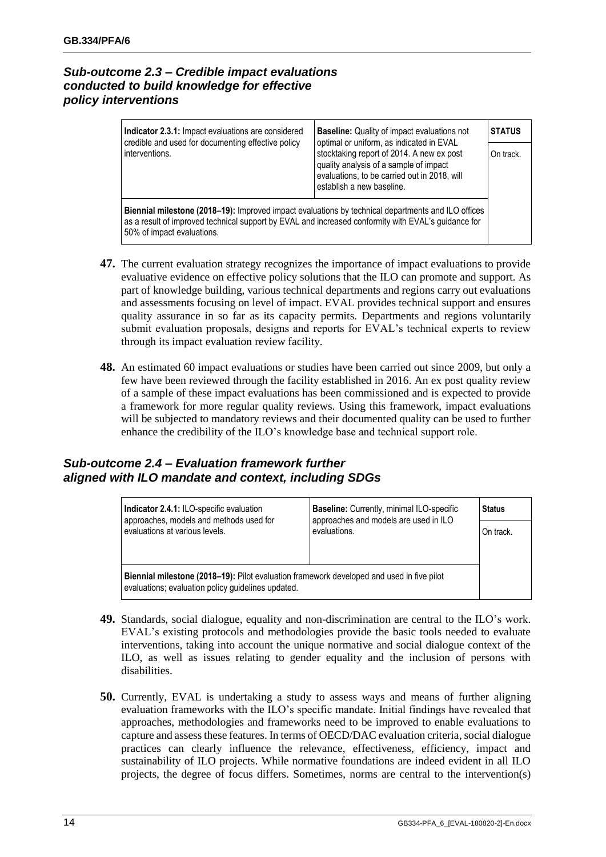## <span id="page-17-0"></span>*Sub-outcome 2.3 – Credible impact evaluations conducted to build knowledge for effective policy interventions*

| Indicator 2.3.1: Impact evaluations are considered<br>credible and used for documenting effective policy<br>interventions.                                                                                                              | <b>Baseline:</b> Quality of impact evaluations not<br>optimal or uniform, as indicated in EVAL<br>stocktaking report of 2014. A new ex post<br>quality analysis of a sample of impact<br>evaluations, to be carried out in 2018, will<br>establish a new baseline. | <b>STATUS</b><br>On track. |
|-----------------------------------------------------------------------------------------------------------------------------------------------------------------------------------------------------------------------------------------|--------------------------------------------------------------------------------------------------------------------------------------------------------------------------------------------------------------------------------------------------------------------|----------------------------|
| Biennial milestone (2018–19): Improved impact evaluations by technical departments and ILO offices<br>as a result of improved technical support by EVAL and increased conformity with EVAL's guidance for<br>50% of impact evaluations. |                                                                                                                                                                                                                                                                    |                            |

- **47.** The current evaluation strategy recognizes the importance of impact evaluations to provide evaluative evidence on effective policy solutions that the ILO can promote and support. As part of knowledge building, various technical departments and regions carry out evaluations and assessments focusing on level of impact. EVAL provides technical support and ensures quality assurance in so far as its capacity permits. Departments and regions voluntarily submit evaluation proposals, designs and reports for EVAL's technical experts to review through its impact evaluation review facility.
- **48.** An estimated 60 impact evaluations or studies have been carried out since 2009, but only a few have been reviewed through the facility established in 2016. An ex post quality review of a sample of these impact evaluations has been commissioned and is expected to provide a framework for more regular quality reviews. Using this framework, impact evaluations will be subjected to mandatory reviews and their documented quality can be used to further enhance the credibility of the ILO's knowledge base and technical support role.

## <span id="page-17-1"></span>*Sub-outcome 2.4 – Evaluation framework further aligned with ILO mandate and context, including SDGs*

| Indicator 2.4.1: ILO-specific evaluation                                                                                                        | Baseline: Currently, minimal ILO-specific<br>approaches and models are used in ILO |           |  |  |
|-------------------------------------------------------------------------------------------------------------------------------------------------|------------------------------------------------------------------------------------|-----------|--|--|
| approaches, models and methods used for<br>evaluations at various levels.                                                                       | evaluations.                                                                       | On track. |  |  |
|                                                                                                                                                 |                                                                                    |           |  |  |
| Biennial milestone (2018–19): Pilot evaluation framework developed and used in five pilot<br>evaluations; evaluation policy guidelines updated. |                                                                                    |           |  |  |

- **49.** Standards, social dialogue, equality and non-discrimination are central to the ILO's work. EVAL's existing protocols and methodologies provide the basic tools needed to evaluate interventions, taking into account the unique normative and social dialogue context of the ILO, as well as issues relating to gender equality and the inclusion of persons with disabilities.
- **50.** Currently, EVAL is undertaking a study to assess ways and means of further aligning evaluation frameworks with the ILO's specific mandate. Initial findings have revealed that approaches, methodologies and frameworks need to be improved to enable evaluations to capture and assess these features. In terms of OECD/DAC evaluation criteria, social dialogue practices can clearly influence the relevance, effectiveness, efficiency, impact and sustainability of ILO projects. While normative foundations are indeed evident in all ILO projects, the degree of focus differs. Sometimes, norms are central to the intervention(s)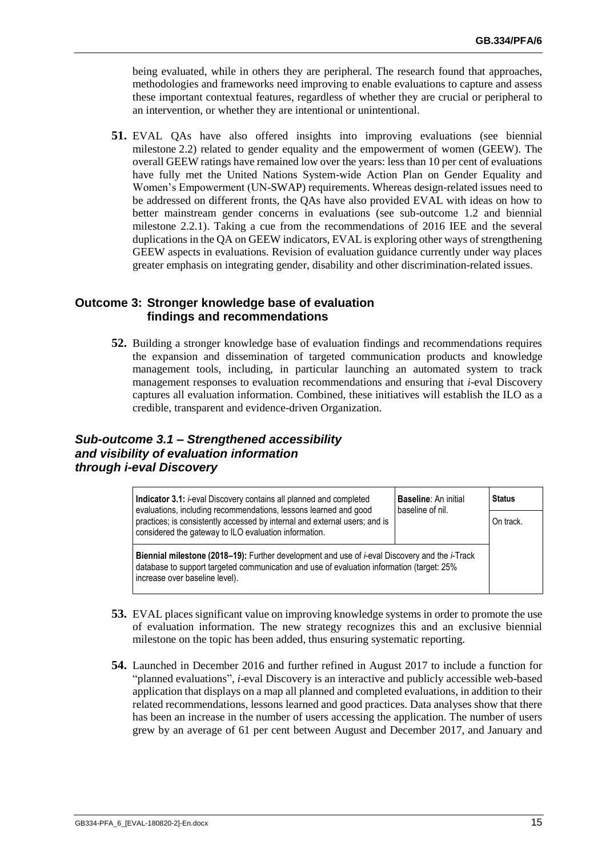being evaluated, while in others they are peripheral. The research found that approaches, methodologies and frameworks need improving to enable evaluations to capture and assess these important contextual features, regardless of whether they are crucial or peripheral to an intervention, or whether they are intentional or unintentional.

**51.** EVAL QAs have also offered insights into improving evaluations (see biennial milestone 2.2) related to gender equality and the empowerment of women (GEEW). The overall GEEW ratings have remained low over the years: less than 10 per cent of evaluations have fully met the United Nations System-wide Action Plan on Gender Equality and Women's Empowerment (UN-SWAP) requirements. Whereas design-related issues need to be addressed on different fronts, the QAs have also provided EVAL with ideas on how to better mainstream gender concerns in evaluations (see sub-outcome 1.2 and biennial milestone 2.2.1). Taking a cue from the recommendations of 2016 IEE and the several duplications in the QA on GEEW indicators, EVAL is exploring other ways of strengthening GEEW aspects in evaluations. Revision of evaluation guidance currently under way places greater emphasis on integrating gender, disability and other discrimination-related issues.

#### <span id="page-18-0"></span>**Outcome 3: Stronger knowledge base of evaluation findings and recommendations**

**52.** Building a stronger knowledge base of evaluation findings and recommendations requires the expansion and dissemination of targeted communication products and knowledge management tools, including, in particular launching an automated system to track management responses to evaluation recommendations and ensuring that *i*-eval Discovery captures all evaluation information. Combined, these initiatives will establish the ILO as a credible, transparent and evidence-driven Organization.

## <span id="page-18-1"></span>*Sub-outcome 3.1 – Strengthened accessibility and visibility of evaluation information through i-eval Discovery*

| <b>Indicator 3.1:</b> <i>i</i> -eval Discovery contains all planned and completed                                                                                                                                                                   | <b>Baseline: An initial</b><br>baseline of nil. | <b>Status</b> |
|-----------------------------------------------------------------------------------------------------------------------------------------------------------------------------------------------------------------------------------------------------|-------------------------------------------------|---------------|
| evaluations, including recommendations, lessons learned and good<br>practices; is consistently accessed by internal and external users; and is<br>considered the gateway to ILO evaluation information.                                             |                                                 | On track.     |
| <b>Biennial milestone (2018–19):</b> Further development and use of <i>i</i> -eval Discovery and the <i>i</i> -Track<br>database to support targeted communication and use of evaluation information (target: 25%<br>increase over baseline level). |                                                 |               |

- **53.** EVAL places significant value on improving knowledge systems in order to promote the use of evaluation information. The new strategy recognizes this and an exclusive biennial milestone on the topic has been added, thus ensuring systematic reporting.
- **54.** Launched in December 2016 and further refined in August 2017 to include a function for "planned evaluations", *i*-eval Discovery is an interactive and publicly accessible web-based application that displays on a map all planned and completed evaluations, in addition to their related recommendations, lessons learned and good practices. Data analyses show that there has been an increase in the number of users accessing the application. The number of users grew by an average of 61 per cent between August and December 2017, and January and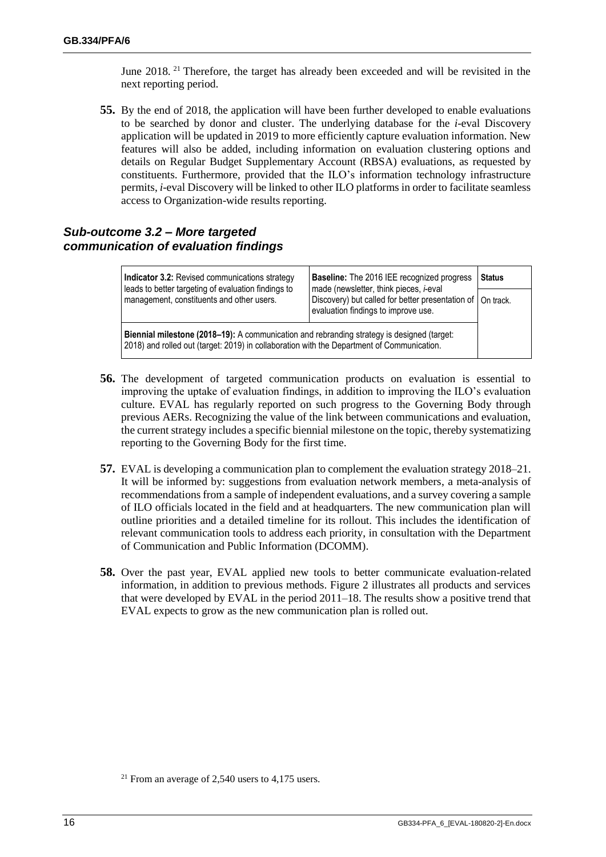June 2018.<sup>21</sup> Therefore, the target has already been exceeded and will be revisited in the next reporting period.

**55.** By the end of 2018, the application will have been further developed to enable evaluations to be searched by donor and cluster. The underlying database for the *i*-eval Discovery application will be updated in 2019 to more efficiently capture evaluation information. New features will also be added, including information on evaluation clustering options and details on Regular Budget Supplementary Account (RBSA) evaluations, as requested by constituents. Furthermore, provided that the ILO's information technology infrastructure permits, *i*-eval Discovery will be linked to other ILO platforms in order to facilitate seamless access to Organization-wide results reporting.

## <span id="page-19-0"></span>*Sub-outcome 3.2 – More targeted communication of evaluation findings*

| Indicator 3.2: Revised communications strategy                                                                                                                                           | <b>Baseline:</b> The 2016 IEE recognized progress                                                                                                     | <b>Status</b> |  |  |
|------------------------------------------------------------------------------------------------------------------------------------------------------------------------------------------|-------------------------------------------------------------------------------------------------------------------------------------------------------|---------------|--|--|
| leads to better targeting of evaluation findings to<br>management, constituents and other users.                                                                                         | made (newsletter, think pieces, <i>i-</i> eval<br>Discovery) but called for better presentation of   On track.<br>evaluation findings to improve use. |               |  |  |
| Biennial milestone (2018–19): A communication and rebranding strategy is designed (target:<br>2018) and rolled out (target: 2019) in collaboration with the Department of Communication. |                                                                                                                                                       |               |  |  |

- **56.** The development of targeted communication products on evaluation is essential to improving the uptake of evaluation findings, in addition to improving the ILO's evaluation culture. EVAL has regularly reported on such progress to the Governing Body through previous AERs. Recognizing the value of the link between communications and evaluation, the current strategy includes a specific biennial milestone on the topic, thereby systematizing reporting to the Governing Body for the first time.
- **57.** EVAL is developing a communication plan to complement the evaluation strategy 2018–21. It will be informed by: suggestions from evaluation network members, a meta-analysis of recommendations from a sample of independent evaluations, and a survey covering a sample of ILO officials located in the field and at headquarters. The new communication plan will outline priorities and a detailed timeline for its rollout. This includes the identification of relevant communication tools to address each priority, in consultation with the Department of Communication and Public Information (DCOMM).
- **58.** Over the past year, EVAL applied new tools to better communicate evaluation-related information, in addition to previous methods. Figure 2 illustrates all products and services that were developed by EVAL in the period 2011–18. The results show a positive trend that EVAL expects to grow as the new communication plan is rolled out.

<sup>&</sup>lt;sup>21</sup> From an average of 2,540 users to 4,175 users.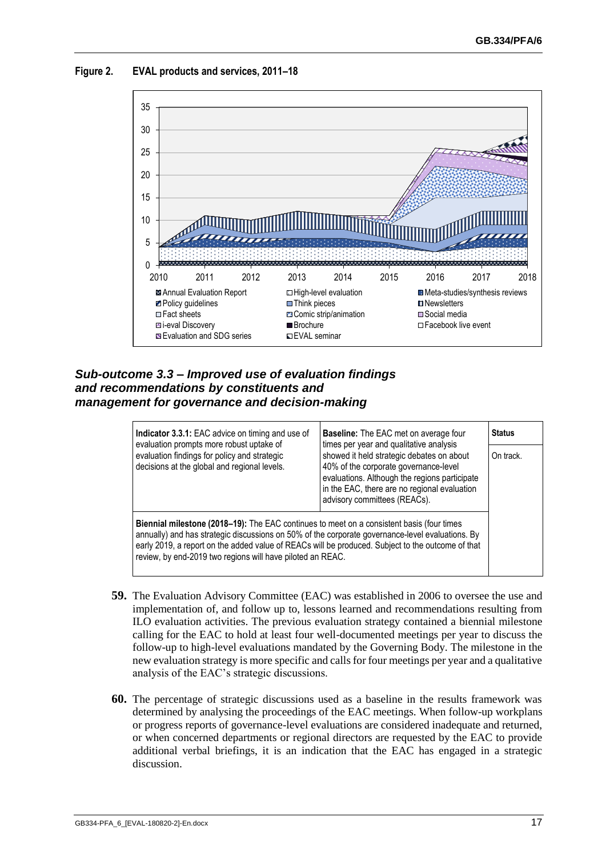**Figure 2. EVAL products and services, 2011–18**



## <span id="page-20-0"></span>*Sub-outcome 3.3 – Improved use of evaluation findings and recommendations by constituents and management for governance and decision-making*

| Indicator 3.3.1: EAC advice on timing and use of<br>evaluation prompts more robust uptake of                                                                                                                                                                                                                                                                            | Baseline: The EAC met on average four<br>times per year and qualitative analysis                                                                                                                                    | <b>Status</b> |
|-------------------------------------------------------------------------------------------------------------------------------------------------------------------------------------------------------------------------------------------------------------------------------------------------------------------------------------------------------------------------|---------------------------------------------------------------------------------------------------------------------------------------------------------------------------------------------------------------------|---------------|
| evaluation findings for policy and strategic<br>decisions at the global and regional levels.                                                                                                                                                                                                                                                                            | showed it held strategic debates on about<br>40% of the corporate governance-level<br>evaluations. Although the regions participate<br>in the EAC, there are no regional evaluation<br>advisory committees (REACs). | On track.     |
| <b>Biennial milestone (2018–19):</b> The EAC continues to meet on a consistent basis (four times<br>annually) and has strategic discussions on 50% of the corporate governance-level evaluations. By<br>early 2019, a report on the added value of REACs will be produced. Subject to the outcome of that<br>review, by end-2019 two regions will have piloted an REAC. |                                                                                                                                                                                                                     |               |

- **59.** The Evaluation Advisory Committee (EAC) was established in 2006 to oversee the use and implementation of, and follow up to, lessons learned and recommendations resulting from ILO evaluation activities. The previous evaluation strategy contained a biennial milestone calling for the EAC to hold at least four well-documented meetings per year to discuss the follow-up to high-level evaluations mandated by the Governing Body. The milestone in the new evaluation strategy is more specific and calls for four meetings per year and a qualitative analysis of the EAC's strategic discussions.
- **60.** The percentage of strategic discussions used as a baseline in the results framework was determined by analysing the proceedings of the EAC meetings. When follow-up workplans or progress reports of governance-level evaluations are considered inadequate and returned, or when concerned departments or regional directors are requested by the EAC to provide additional verbal briefings, it is an indication that the EAC has engaged in a strategic discussion.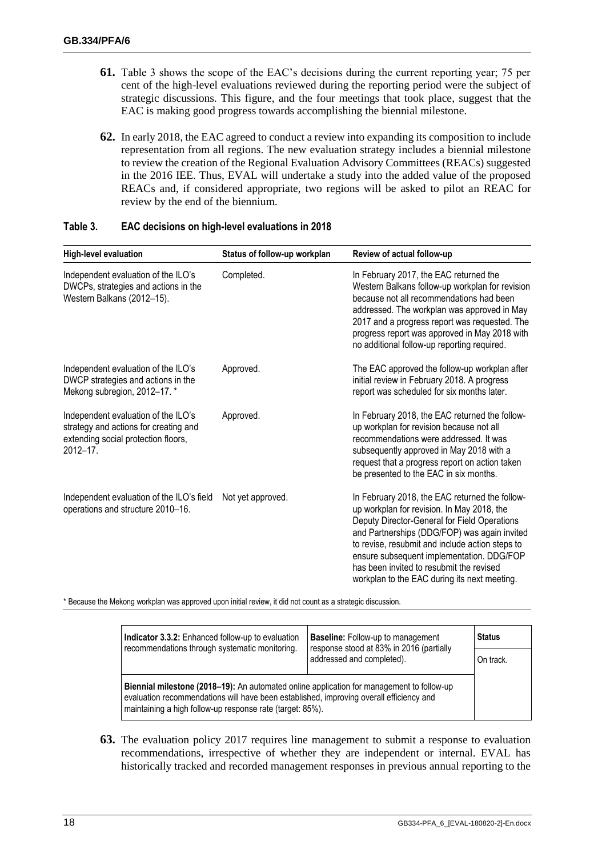- **61.** Table 3 shows the scope of the EAC's decisions during the current reporting year; 75 per cent of the high-level evaluations reviewed during the reporting period were the subject of strategic discussions. This figure, and the four meetings that took place, suggest that the EAC is making good progress towards accomplishing the biennial milestone.
- **62.** In early 2018, the EAC agreed to conduct a review into expanding its composition to include representation from all regions. The new evaluation strategy includes a biennial milestone to review the creation of the Regional Evaluation Advisory Committees (REACs) suggested in the 2016 IEE. Thus, EVAL will undertake a study into the added value of the proposed REACs and, if considered appropriate, two regions will be asked to pilot an REAC for review by the end of the biennium.

| <b>High-level evaluation</b>                                                                                                    | Status of follow-up workplan | Review of actual follow-up                                                                                                                                                                                                                                                                                                                                                               |
|---------------------------------------------------------------------------------------------------------------------------------|------------------------------|------------------------------------------------------------------------------------------------------------------------------------------------------------------------------------------------------------------------------------------------------------------------------------------------------------------------------------------------------------------------------------------|
| Independent evaluation of the ILO's<br>DWCPs, strategies and actions in the<br>Western Balkans (2012-15).                       | Completed.                   | In February 2017, the EAC returned the<br>Western Balkans follow-up workplan for revision<br>because not all recommendations had been<br>addressed. The workplan was approved in May<br>2017 and a progress report was requested. The<br>progress report was approved in May 2018 with<br>no additional follow-up reporting required.                                                    |
| Independent evaluation of the ILO's<br>DWCP strategies and actions in the<br>Mekong subregion, 2012-17.*                        | Approved.                    | The EAC approved the follow-up workplan after<br>initial review in February 2018. A progress<br>report was scheduled for six months later.                                                                                                                                                                                                                                               |
| Independent evaluation of the ILO's<br>strategy and actions for creating and<br>extending social protection floors,<br>2012-17. | Approved.                    | In February 2018, the EAC returned the follow-<br>up workplan for revision because not all<br>recommendations were addressed. It was<br>subsequently approved in May 2018 with a<br>request that a progress report on action taken<br>be presented to the EAC in six months.                                                                                                             |
| Independent evaluation of the ILO's field<br>operations and structure 2010-16.                                                  | Not yet approved.            | In February 2018, the EAC returned the follow-<br>up workplan for revision. In May 2018, the<br>Deputy Director-General for Field Operations<br>and Partnerships (DDG/FOP) was again invited<br>to revise, resubmit and include action steps to<br>ensure subsequent implementation. DDG/FOP<br>has been invited to resubmit the revised<br>workplan to the EAC during its next meeting. |

#### **Table 3. EAC decisions on high-level evaluations in 2018**

\* Because the Mekong workplan was approved upon initial review, it did not count as a strategic discussion.

| <b>Indicator 3.3.2:</b> Enhanced follow-up to evaluation<br>recommendations through systematic monitoring.                                                                                                                                        | <b>Baseline:</b> Follow-up to management<br>response stood at 83% in 2016 (partially | <b>Status</b> |  |  |
|---------------------------------------------------------------------------------------------------------------------------------------------------------------------------------------------------------------------------------------------------|--------------------------------------------------------------------------------------|---------------|--|--|
|                                                                                                                                                                                                                                                   | addressed and completed).                                                            | On track.     |  |  |
| Biennial milestone (2018–19): An automated online application for management to follow-up<br>evaluation recommendations will have been established, improving overall efficiency and<br>maintaining a high follow-up response rate (target: 85%). |                                                                                      |               |  |  |

**63.** The evaluation policy 2017 requires line management to submit a response to evaluation recommendations, irrespective of whether they are independent or internal. EVAL has historically tracked and recorded management responses in previous annual reporting to the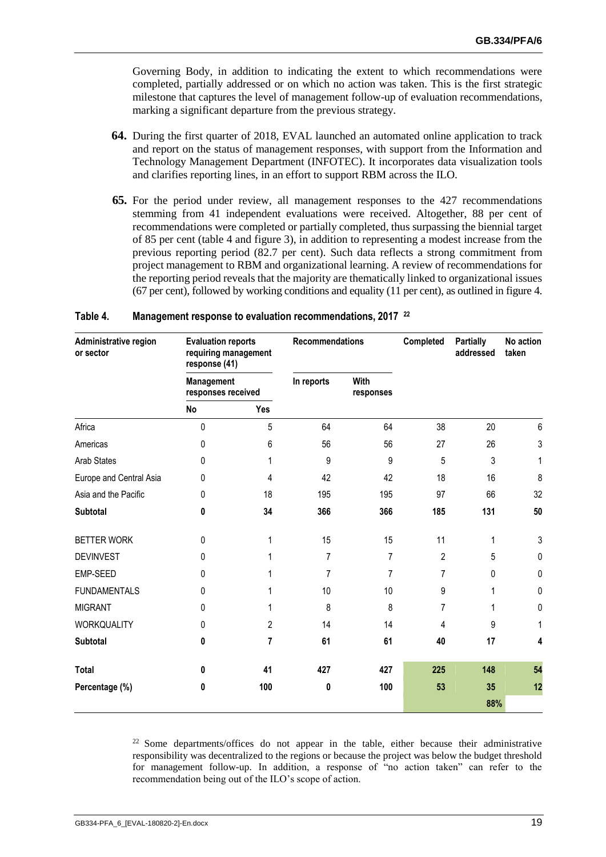Governing Body, in addition to indicating the extent to which recommendations were completed, partially addressed or on which no action was taken. This is the first strategic milestone that captures the level of management follow-up of evaluation recommendations, marking a significant departure from the previous strategy.

- **64.** During the first quarter of 2018, EVAL launched an automated online application to track and report on the status of management responses, with support from the Information and Technology Management Department (INFOTEC). It incorporates data visualization tools and clarifies reporting lines, in an effort to support RBM across the ILO.
- **65.** For the period under review, all management responses to the 427 recommendations stemming from 41 independent evaluations were received. Altogether, 88 per cent of recommendations were completed or partially completed, thus surpassing the biennial target of 85 per cent (table 4 and figure 3), in addition to representing a modest increase from the previous reporting period (82.7 per cent). Such data reflects a strong commitment from project management to RBM and organizational learning. A review of recommendations for the reporting period reveals that the majority are thematically linked to organizational issues (67 per cent), followed by working conditions and equality (11 per cent), as outlined in figure 4.

| Administrative region<br>or sector | <b>Evaluation reports</b><br>requiring management<br>response (41) |                | Recommendations                 |                | Completed      | <b>Partially</b><br>addressed | No action<br>taken |
|------------------------------------|--------------------------------------------------------------------|----------------|---------------------------------|----------------|----------------|-------------------------------|--------------------|
|                                    | Management<br>responses received                                   |                | In reports<br>With<br>responses |                |                |                               |                    |
|                                    | No                                                                 | Yes            |                                 |                |                |                               |                    |
| Africa                             | $\mathbf{0}$                                                       | 5              | 64                              | 64             | 38             | 20                            | 6                  |
| Americas                           | $\mathbf{0}$                                                       | 6              | 56                              | 56             | 27             | 26                            | 3                  |
| <b>Arab States</b>                 | 0                                                                  | 1              | 9                               | 9              | 5              | 3                             | 1                  |
| Europe and Central Asia            | 0                                                                  | 4              | 42                              | 42             | 18             | 16                            | 8                  |
| Asia and the Pacific               | 0                                                                  | 18             | 195                             | 195            | 97             | 66                            | 32                 |
| <b>Subtotal</b>                    | 0                                                                  | 34             | 366                             | 366            | 185            | 131                           | 50                 |
| <b>BETTER WORK</b>                 | 0                                                                  | 1              | 15                              | 15             | 11             | 1                             | $\mathsf 3$        |
| <b>DEVINVEST</b>                   | 0                                                                  |                | 7                               | 7              | $\overline{2}$ | 5                             | 0                  |
| EMP-SEED                           | 0                                                                  |                | 7                               | $\overline{7}$ | 7              | 0                             | 0                  |
| <b>FUNDAMENTALS</b>                | 0                                                                  |                | 10                              | 10             | 9              | 1                             | 0                  |
| <b>MIGRANT</b>                     | 0                                                                  |                | 8                               | 8              | 7              | 1                             | 0                  |
| WORKQUALITY                        | 0                                                                  | $\overline{2}$ | 14                              | 14             | 4              | 9                             | 1                  |
| <b>Subtotal</b>                    | 0                                                                  | 7              | 61                              | 61             | 40             | 17                            | 4                  |
| <b>Total</b>                       | 0                                                                  | 41             | 427                             | 427            | 225            | 148                           | 54                 |
| Percentage (%)                     | 0                                                                  | 100            | 0                               | 100            | 53             | 35                            | 12                 |
|                                    |                                                                    |                |                                 |                |                | 88%                           |                    |

#### **Table 4. Management response to evaluation recommendations, 2017 <sup>22</sup>**

 $22$  Some departments/offices do not appear in the table, either because their administrative responsibility was decentralized to the regions or because the project was below the budget threshold for management follow-up. In addition, a response of "no action taken" can refer to the recommendation being out of the ILO's scope of action.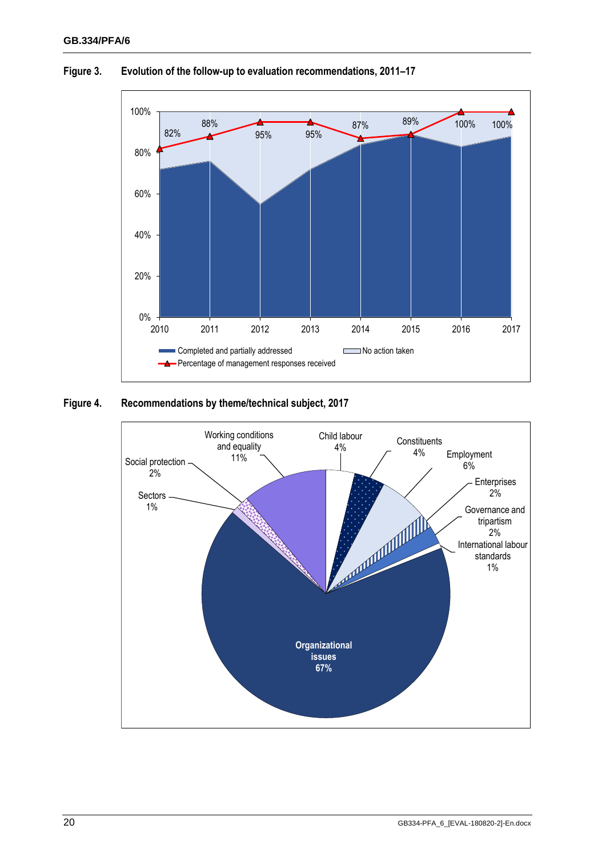

#### **Figure 3. Evolution of the follow-up to evaluation recommendations, 2011–17**

#### **Figure 4. Recommendations by theme/technical subject, 2017**

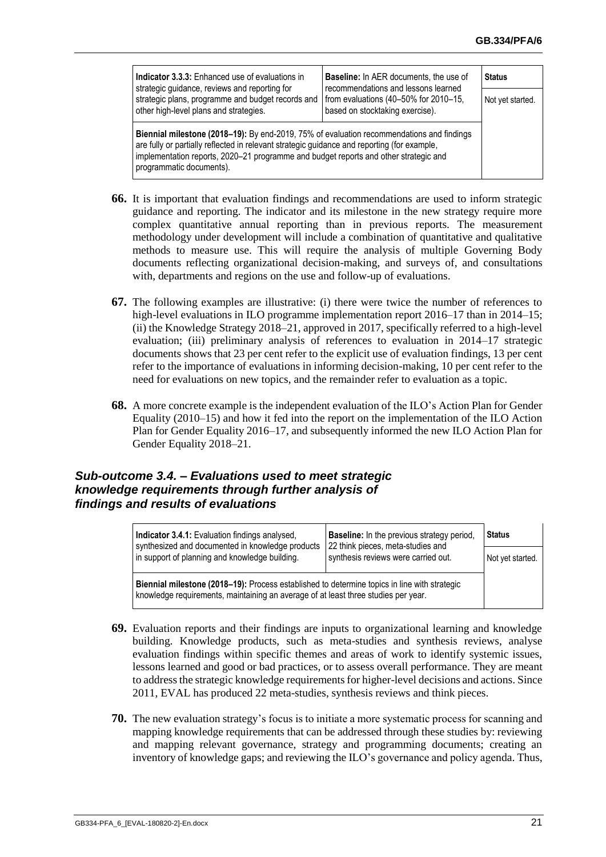| <b>Indicator 3.3.3:</b> Enhanced use of evaluations in<br>strategic guidance, reviews and reporting for                                                                                                                                                                                                      | <b>Baseline:</b> In AER documents, the use of<br>recommendations and lessons learned | <b>Status</b>    |
|--------------------------------------------------------------------------------------------------------------------------------------------------------------------------------------------------------------------------------------------------------------------------------------------------------------|--------------------------------------------------------------------------------------|------------------|
| strategic plans, programme and budget records and<br>other high-level plans and strategies.                                                                                                                                                                                                                  | from evaluations (40-50% for 2010-15,<br>based on stocktaking exercise).             | Not yet started. |
| Biennial milestone (2018–19): By end-2019, 75% of evaluation recommendations and findings<br>are fully or partially reflected in relevant strategic guidance and reporting (for example,<br>implementation reports, 2020-21 programme and budget reports and other strategic and<br>programmatic documents). |                                                                                      |                  |

- **66.** It is important that evaluation findings and recommendations are used to inform strategic guidance and reporting. The indicator and its milestone in the new strategy require more complex quantitative annual reporting than in previous reports. The measurement methodology under development will include a combination of quantitative and qualitative methods to measure use. This will require the analysis of multiple Governing Body documents reflecting organizational decision-making, and surveys of, and consultations with, departments and regions on the use and follow-up of evaluations.
- **67.** The following examples are illustrative: (i) there were twice the number of references to high-level evaluations in ILO programme implementation report 2016–17 than in 2014–15; (ii) the Knowledge Strategy 2018–21, approved in 2017, specifically referred to a high-level evaluation; (iii) preliminary analysis of references to evaluation in 2014–17 strategic documents shows that 23 per cent refer to the explicit use of evaluation findings, 13 per cent refer to the importance of evaluations in informing decision-making, 10 per cent refer to the need for evaluations on new topics, and the remainder refer to evaluation as a topic.
- **68.** A more concrete example is the independent evaluation of the ILO's Action Plan for Gender Equality (2010–15) and how it fed into the report on the implementation of the ILO Action Plan for Gender Equality 2016–17, and subsequently informed the new ILO Action Plan for Gender Equality 2018–21.

## <span id="page-24-0"></span>*Sub-outcome 3.4. – Evaluations used to meet strategic knowledge requirements through further analysis of findings and results of evaluations*

| Indicator 3.4.1: Evaluation findings analysed,<br>synthesized and documented in knowledge products                                                                                 | <b>Baseline:</b> In the previous strategy period,<br>22 think pieces, meta-studies and | <b>Status</b>    |
|------------------------------------------------------------------------------------------------------------------------------------------------------------------------------------|----------------------------------------------------------------------------------------|------------------|
| in support of planning and knowledge building.                                                                                                                                     | synthesis reviews were carried out.                                                    | Not yet started. |
| Biennial milestone (2018–19): Process established to determine topics in line with strategic<br>knowledge requirements, maintaining an average of at least three studies per year. |                                                                                        |                  |

- **69.** Evaluation reports and their findings are inputs to organizational learning and knowledge building. Knowledge products, such as meta-studies and synthesis reviews, analyse evaluation findings within specific themes and areas of work to identify systemic issues, lessons learned and good or bad practices, or to assess overall performance. They are meant to address the strategic knowledge requirements for higher-level decisions and actions. Since 2011, EVAL has produced 22 meta-studies, synthesis reviews and think pieces.
- **70.** The new evaluation strategy's focus is to initiate a more systematic process for scanning and mapping knowledge requirements that can be addressed through these studies by: reviewing and mapping relevant governance, strategy and programming documents; creating an inventory of knowledge gaps; and reviewing the ILO's governance and policy agenda. Thus,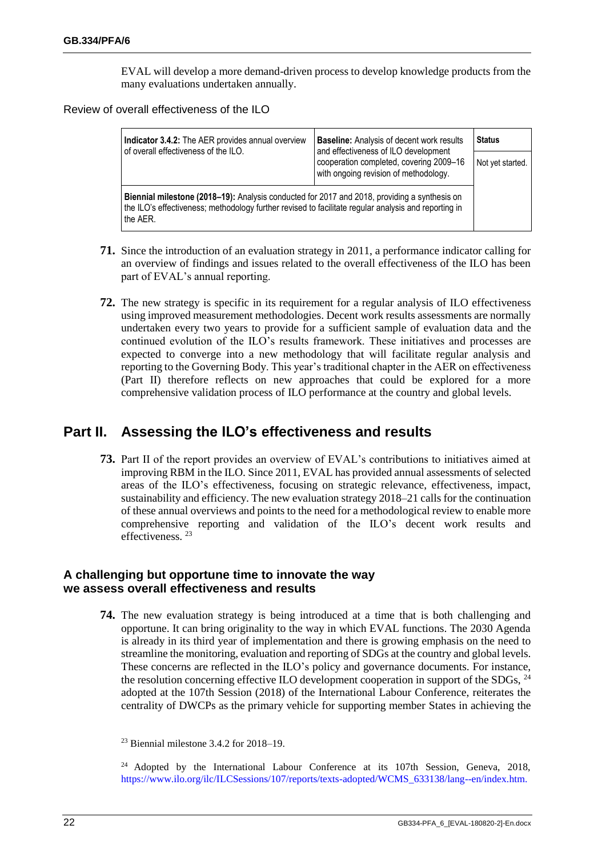EVAL will develop a more demand-driven process to develop knowledge products from the many evaluations undertaken annually.

Review of overall effectiveness of the ILO

| Indicator 3.4.2: The AER provides annual overview<br>of overall effectiveness of the ILO.<br>and effectiveness of ILO development                                                                                | <b>Baseline:</b> Analysis of decent work results                                 | Status           |
|------------------------------------------------------------------------------------------------------------------------------------------------------------------------------------------------------------------|----------------------------------------------------------------------------------|------------------|
|                                                                                                                                                                                                                  | cooperation completed, covering 2009-16<br>with ongoing revision of methodology. | Not yet started. |
| Biennial milestone (2018–19): Analysis conducted for 2017 and 2018, providing a synthesis on<br>the ILO's effectiveness; methodology further revised to facilitate regular analysis and reporting in<br>the AER. |                                                                                  |                  |

- **71.** Since the introduction of an evaluation strategy in 2011, a performance indicator calling for an overview of findings and issues related to the overall effectiveness of the ILO has been part of EVAL's annual reporting.
- **72.** The new strategy is specific in its requirement for a regular analysis of ILO effectiveness using improved measurement methodologies. Decent work results assessments are normally undertaken every two years to provide for a sufficient sample of evaluation data and the continued evolution of the ILO's results framework. These initiatives and processes are expected to converge into a new methodology that will facilitate regular analysis and reporting to the Governing Body. This year's traditional chapter in the AER on effectiveness (Part II) therefore reflects on new approaches that could be explored for a more comprehensive validation process of ILO performance at the country and global levels.

## <span id="page-25-0"></span>**Part II. Assessing the ILO's effectiveness and results**

**73.** Part II of the report provides an overview of EVAL's contributions to initiatives aimed at improving RBM in the ILO. Since 2011, EVAL has provided annual assessments of selected areas of the ILO's effectiveness, focusing on strategic relevance, effectiveness, impact, sustainability and efficiency. The new evaluation strategy 2018–21 calls for the continuation of these annual overviews and points to the need for a methodological review to enable more comprehensive reporting and validation of the ILO's decent work results and effectiveness.<sup>23</sup>

## <span id="page-25-1"></span>**A challenging but opportune time to innovate the way we assess overall effectiveness and results**

**74.** The new evaluation strategy is being introduced at a time that is both challenging and opportune. It can bring originality to the way in which EVAL functions. The 2030 Agenda is already in its third year of implementation and there is growing emphasis on the need to streamline the monitoring, evaluation and reporting of SDGs at the country and global levels. These concerns are reflected in the ILO's policy and governance documents. For instance, the resolution concerning effective ILO development cooperation in support of the SDGs, <sup>24</sup> adopted at the 107th Session (2018) of the International Labour Conference, reiterates the centrality of DWCPs as the primary vehicle for supporting member States in achieving the

<sup>24</sup> Adopted by the International Labour Conference at its 107th Session, Geneva, 2018, [https://www.ilo.org/ilc/ILCSessions/107/reports/texts-adopted/WCMS\\_633138/lang--en/index.htm.](https://www.ilo.org/ilc/ILCSessions/107/reports/texts-adopted/WCMS_633138/lang--en/index.htm)

 $23$  Biennial milestone 3.4.2 for 2018–19.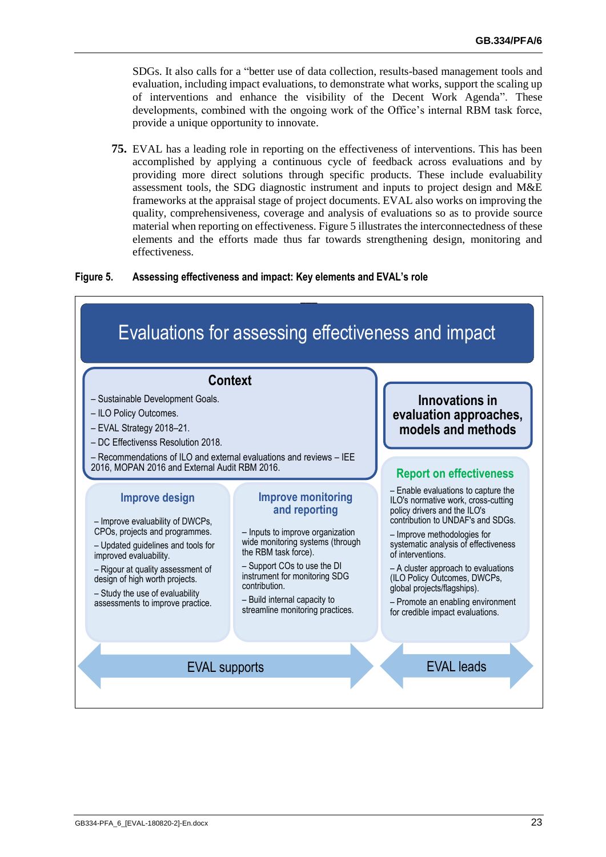SDGs. It also calls for a "better use of data collection, results-based management tools and evaluation, including impact evaluations, to demonstrate what works, support the scaling up of interventions and enhance the visibility of the Decent Work Agenda". These developments, combined with the ongoing work of the Office's internal RBM task force, provide a unique opportunity to innovate.

**75.** EVAL has a leading role in reporting on the effectiveness of interventions. This has been accomplished by applying a continuous cycle of feedback across evaluations and by providing more direct solutions through specific products. These include evaluability assessment tools, the SDG diagnostic instrument and inputs to project design and M&E frameworks at the appraisal stage of project documents. EVAL also works on improving the quality, comprehensiveness, coverage and analysis of evaluations so as to provide source material when reporting on effectiveness. Figure 5 illustrates the interconnectedness of these elements and the efforts made thus far towards strengthening design, monitoring and effectiveness.

#### **Figure 5. Assessing effectiveness and impact: Key elements and EVAL's role**

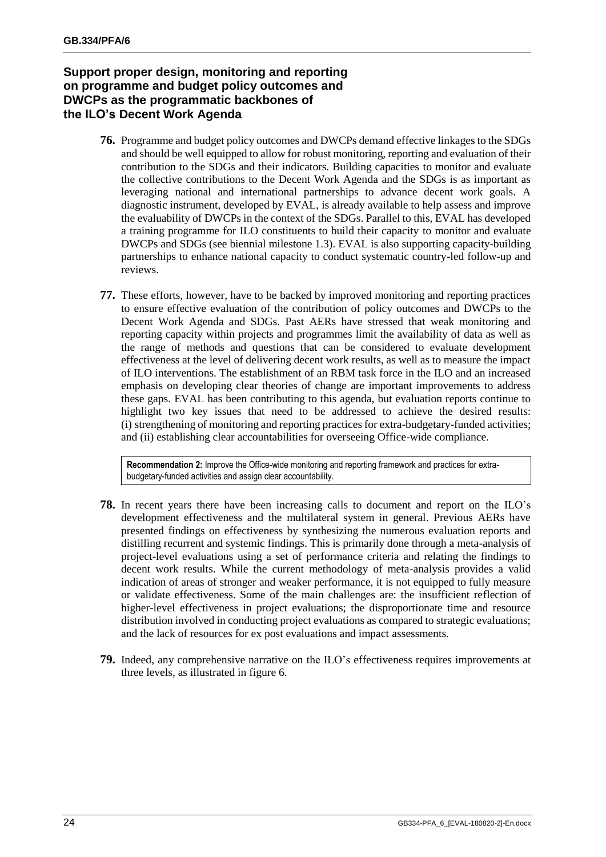## <span id="page-27-0"></span>**Support proper design, monitoring and reporting on programme and budget policy outcomes and DWCPs as the programmatic backbones of the ILO's Decent Work Agenda**

- **76.** Programme and budget policy outcomes and DWCPs demand effective linkages to the SDGs and should be well equipped to allow for robust monitoring, reporting and evaluation of their contribution to the SDGs and their indicators. Building capacities to monitor and evaluate the collective contributions to the Decent Work Agenda and the SDGs is as important as leveraging national and international partnerships to advance decent work goals. A diagnostic instrument, developed by EVAL, is already available to help assess and improve the evaluability of DWCPs in the context of the SDGs. Parallel to this, EVAL has developed a training programme for ILO constituents to build their capacity to monitor and evaluate DWCPs and SDGs (see biennial milestone 1.3). EVAL is also supporting capacity-building partnerships to enhance national capacity to conduct systematic country-led follow-up and reviews.
- **77.** These efforts, however, have to be backed by improved monitoring and reporting practices to ensure effective evaluation of the contribution of policy outcomes and DWCPs to the Decent Work Agenda and SDGs. Past AERs have stressed that weak monitoring and reporting capacity within projects and programmes limit the availability of data as well as the range of methods and questions that can be considered to evaluate development effectiveness at the level of delivering decent work results, as well as to measure the impact of ILO interventions. The establishment of an RBM task force in the ILO and an increased emphasis on developing clear theories of change are important improvements to address these gaps. EVAL has been contributing to this agenda, but evaluation reports continue to highlight two key issues that need to be addressed to achieve the desired results: (i) strengthening of monitoring and reporting practices for extra-budgetary-funded activities; and (ii) establishing clear accountabilities for overseeing Office-wide compliance.

**Recommendation 2:** Improve the Office-wide monitoring and reporting framework and practices for extrabudgetary-funded activities and assign clear accountability.

- **78.** In recent years there have been increasing calls to document and report on the ILO's development effectiveness and the multilateral system in general. Previous AERs have presented findings on effectiveness by synthesizing the numerous evaluation reports and distilling recurrent and systemic findings. This is primarily done through a meta-analysis of project-level evaluations using a set of performance criteria and relating the findings to decent work results. While the current methodology of meta-analysis provides a valid indication of areas of stronger and weaker performance, it is not equipped to fully measure or validate effectiveness. Some of the main challenges are: the insufficient reflection of higher-level effectiveness in project evaluations; the disproportionate time and resource distribution involved in conducting project evaluations as compared to strategic evaluations; and the lack of resources for ex post evaluations and impact assessments.
- **79.** Indeed, any comprehensive narrative on the ILO's effectiveness requires improvements at three levels, as illustrated in figure 6.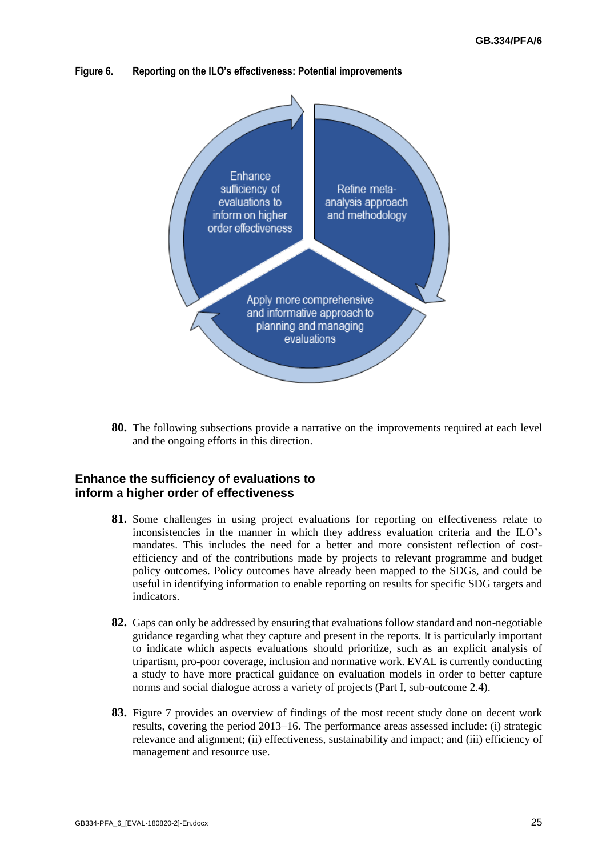**Figure 6. Reporting on the ILO's effectiveness: Potential improvements**



**80.** The following subsections provide a narrative on the improvements required at each level and the ongoing efforts in this direction.

#### <span id="page-28-0"></span>**Enhance the sufficiency of evaluations to inform a higher order of effectiveness**

- **81.** Some challenges in using project evaluations for reporting on effectiveness relate to inconsistencies in the manner in which they address evaluation criteria and the ILO's mandates. This includes the need for a better and more consistent reflection of costefficiency and of the contributions made by projects to relevant programme and budget policy outcomes. Policy outcomes have already been mapped to the SDGs, and could be useful in identifying information to enable reporting on results for specific SDG targets and indicators.
- **82.** Gaps can only be addressed by ensuring that evaluations follow standard and non-negotiable guidance regarding what they capture and present in the reports. It is particularly important to indicate which aspects evaluations should prioritize, such as an explicit analysis of tripartism, pro-poor coverage, inclusion and normative work. EVAL is currently conducting a study to have more practical guidance on evaluation models in order to better capture norms and social dialogue across a variety of projects (Part I, sub-outcome 2.4).
- **83.** Figure 7 provides an overview of findings of the most recent study done on decent work results, covering the period 2013–16. The performance areas assessed include: (i) strategic relevance and alignment; (ii) effectiveness, sustainability and impact; and (iii) efficiency of management and resource use.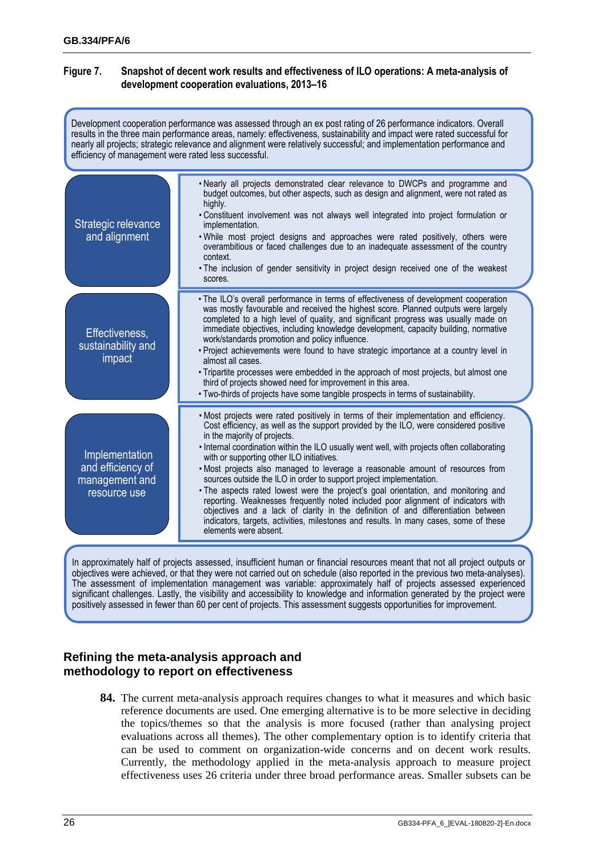#### **Figure 7. Snapshot of decent work results and effectiveness of ILO operations: A meta-analysis of development cooperation evaluations, 2013–16**

| Development cooperation performance was assessed through an ex post rating of 26 performance indicators. Overall<br>results in the three main performance areas, namely: effectiveness, sustainability and impact were rated successful for<br>nearly all projects; strategic relevance and alignment were relatively successful; and implementation performance and<br>efficiency of management were rated less successful. |                                                                                                                                                                                                                                                                                                                                                                                                                                                                                                                                                                                                                                                                                                                                                                                                                                                                                                        |  |
|------------------------------------------------------------------------------------------------------------------------------------------------------------------------------------------------------------------------------------------------------------------------------------------------------------------------------------------------------------------------------------------------------------------------------|--------------------------------------------------------------------------------------------------------------------------------------------------------------------------------------------------------------------------------------------------------------------------------------------------------------------------------------------------------------------------------------------------------------------------------------------------------------------------------------------------------------------------------------------------------------------------------------------------------------------------------------------------------------------------------------------------------------------------------------------------------------------------------------------------------------------------------------------------------------------------------------------------------|--|
| Strategic relevance<br>and alignment                                                                                                                                                                                                                                                                                                                                                                                         | . Nearly all projects demonstrated clear relevance to DWCPs and programme and<br>budget outcomes, but other aspects, such as design and alignment, were not rated as<br>highly.<br>. Constituent involvement was not always well integrated into project formulation or<br>implementation.<br>. While most project designs and approaches were rated positively, others were<br>overambitious or faced challenges due to an inadequate assessment of the country<br>context.<br>. The inclusion of gender sensitivity in project design received one of the weakest<br>scores.                                                                                                                                                                                                                                                                                                                         |  |
| Effectiveness,<br>sustainability and<br>impact                                                                                                                                                                                                                                                                                                                                                                               | . The ILO's overall performance in terms of effectiveness of development cooperation<br>was mostly favourable and received the highest score. Planned outputs were largely<br>completed to a high level of quality, and significant progress was usually made on<br>immediate objectives, including knowledge development, capacity building, normative<br>work/standards promotion and policy influence.<br>. Project achievements were found to have strategic importance at a country level in<br>almost all cases.<br>. Tripartite processes were embedded in the approach of most projects, but almost one<br>third of projects showed need for improvement in this area.<br>. Two-thirds of projects have some tangible prospects in terms of sustainability.                                                                                                                                    |  |
| Implementation<br>and efficiency of<br>management and<br>resource use                                                                                                                                                                                                                                                                                                                                                        | . Most projects were rated positively in terms of their implementation and efficiency.<br>Cost efficiency, as well as the support provided by the ILO, were considered positive<br>in the majority of projects.<br>. Internal coordination within the ILO usually went well, with projects often collaborating<br>with or supporting other ILO initiatives.<br>. Most projects also managed to leverage a reasonable amount of resources from<br>sources outside the ILO in order to support project implementation.<br>. The aspects rated lowest were the project's goal orientation, and monitoring and<br>reporting. Weaknesses frequently noted included poor alignment of indicators with<br>objectives and a lack of clarity in the definition of and differentiation between<br>indicators, targets, activities, milestones and results. In many cases, some of these<br>elements were absent. |  |

In approximately half of projects assessed, insufficient human or financial resources meant that not all project outputs or objectives were achieved, or that they were not carried out on schedule (also reported in the previous two meta-analyses). The assessment of implementation management was variable: approximately half of projects assessed experienced significant challenges. Lastly, the visibility and accessibility to knowledge and information generated by the project were positively assessed in fewer than 60 per cent of projects. This assessment suggests opportunities for improvement.

## <span id="page-29-0"></span>**Refining the meta-analysis approach and methodology to report on effectiveness**

**84.** The current meta-analysis approach requires changes to what it measures and which basic reference documents are used. One emerging alternative is to be more selective in deciding the topics/themes so that the analysis is more focused (rather than analysing project evaluations across all themes). The other complementary option is to identify criteria that can be used to comment on organization-wide concerns and on decent work results. Currently, the methodology applied in the meta-analysis approach to measure project effectiveness uses 26 criteria under three broad performance areas. Smaller subsets can be